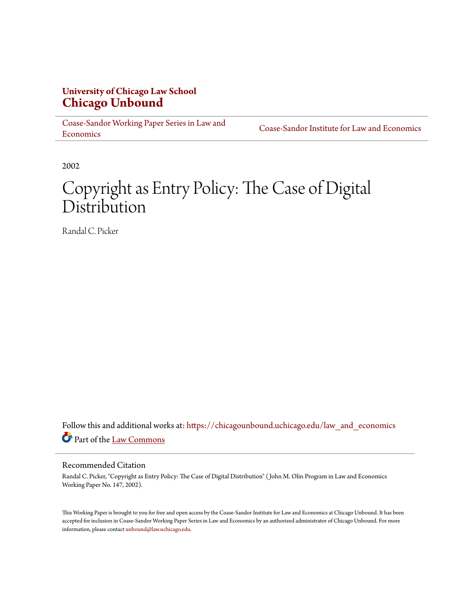# **University of Chicago Law School [Chicago Unbound](https://chicagounbound.uchicago.edu?utm_source=chicagounbound.uchicago.edu%2Flaw_and_economics%2F131&utm_medium=PDF&utm_campaign=PDFCoverPages)**

[Coase-Sandor Working Paper Series in Law and](https://chicagounbound.uchicago.edu/law_and_economics?utm_source=chicagounbound.uchicago.edu%2Flaw_and_economics%2F131&utm_medium=PDF&utm_campaign=PDFCoverPages) [Economics](https://chicagounbound.uchicago.edu/law_and_economics?utm_source=chicagounbound.uchicago.edu%2Flaw_and_economics%2F131&utm_medium=PDF&utm_campaign=PDFCoverPages)

[Coase-Sandor Institute for Law and Economics](https://chicagounbound.uchicago.edu/coase_sandor_institute?utm_source=chicagounbound.uchicago.edu%2Flaw_and_economics%2F131&utm_medium=PDF&utm_campaign=PDFCoverPages)

2002

# Copyright as Entry Policy: The Case of Digital Distribution

Randal C. Picker

Follow this and additional works at: [https://chicagounbound.uchicago.edu/law\\_and\\_economics](https://chicagounbound.uchicago.edu/law_and_economics?utm_source=chicagounbound.uchicago.edu%2Flaw_and_economics%2F131&utm_medium=PDF&utm_campaign=PDFCoverPages) Part of the [Law Commons](http://network.bepress.com/hgg/discipline/578?utm_source=chicagounbound.uchicago.edu%2Flaw_and_economics%2F131&utm_medium=PDF&utm_campaign=PDFCoverPages)

#### Recommended Citation

Randal C. Picker, "Copyright as Entry Policy: The Case of Digital Distribution" ( John M. Olin Program in Law and Economics Working Paper No. 147, 2002).

This Working Paper is brought to you for free and open access by the Coase-Sandor Institute for Law and Economics at Chicago Unbound. It has been accepted for inclusion in Coase-Sandor Working Paper Series in Law and Economics by an authorized administrator of Chicago Unbound. For more information, please contact [unbound@law.uchicago.edu.](mailto:unbound@law.uchicago.edu)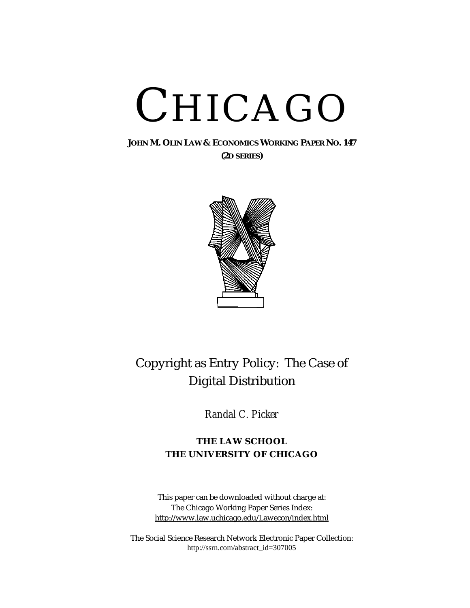# CHICAGO

**JOHN M. OLIN LAW & ECONOMICS WORKING PAPER NO. 147 (2D SERIES)**



# Copyright as Entry Policy: The Case of Digital Distribution

*Randal C. Picker*

# **THE LAW SCHOOL THE UNIVERSITY OF CHICAGO**

This paper can be downloaded without charge at: The Chicago Working Paper Series Index: [http://www.law.uchicago.edu/Lawecon/index.html](http://www.law.uchicago.edu/Publications/Working/index.html)

The Social Science Research Network Electronic Paper Collection: [http://ssrn.com/abstract\\_id=307005](http://papers.ssrn.com/sol3/search.taf)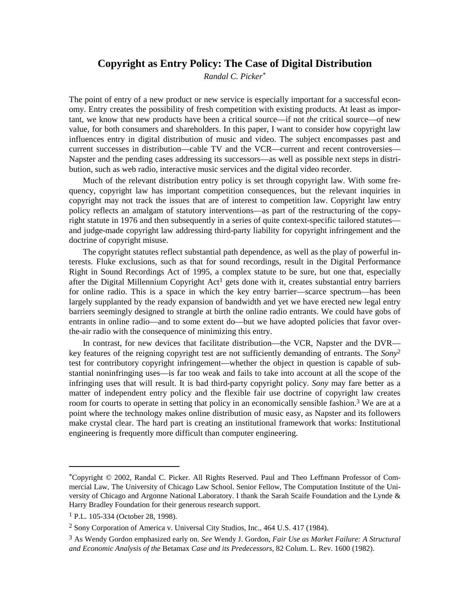### **Copyright as Entry Policy: The Case of Digital Distribution**

*Randal C. Picker\**

The point of entry of a new product or new service is especially important for a successful economy. Entry creates the possibility of fresh competition with existing products. At least as important, we know that new products have been a critical source—if not *the* critical source—of new value, for both consumers and shareholders. In this paper, I want to consider how copyright law influences entry in digital distribution of music and video. The subject encompasses past and current successes in distribution—cable TV and the VCR—current and recent controversies— Napster and the pending cases addressing its successors—as well as possible next steps in distribution, such as web radio, interactive music services and the digital video recorder.

Much of the relevant distribution entry policy is set through copyright law. With some frequency, copyright law has important competition consequences, but the relevant inquiries in copyright may not track the issues that are of interest to competition law. Copyright law entry policy reflects an amalgam of statutory interventions—as part of the restructuring of the copyright statute in 1976 and then subsequently in a series of quite context-specific tailored statutes and judge-made copyright law addressing third-party liability for copyright infringement and the doctrine of copyright misuse.

The copyright statutes reflect substantial path dependence, as well as the play of powerful interests. Fluke exclusions, such as that for sound recordings, result in the Digital Performance Right in Sound Recordings Act of 1995, a complex statute to be sure, but one that, especially after the Digital Millennium Copyright Act<sup>1</sup> gets done with it, creates substantial entry barriers for online radio. This is a space in which the key entry barrier—scarce spectrum—has been largely supplanted by the ready expansion of bandwidth and yet we have erected new legal entry barriers seemingly designed to strangle at birth the online radio entrants. We could have gobs of entrants in online radio—and to some extent do—but we have adopted policies that favor overthe-air radio with the consequence of minimizing this entry.

In contrast, for new devices that facilitate distribution—the VCR, Napster and the DVR key features of the reigning copyright test are not sufficiently demanding of entrants. The *Sony*<sup>2</sup> test for contributory copyright infringement—whether the object in question is capable of substantial noninfringing uses—is far too weak and fails to take into account at all the scope of the infringing uses that will result. It is bad third-party copyright policy. *Sony* may fare better as a matter of independent entry policy and the flexible fair use doctrine of copyright law creates room for courts to operate in setting that policy in an economically sensible fashion.<sup>3</sup> We are at a point where the technology makes online distribution of music easy, as Napster and its followers make crystal clear. The hard part is creating an institutional framework that works: Institutional engineering is frequently more difficult than computer engineering.

-

<sup>\*</sup>Copyright © 2002, Randal C. Picker. All Rights Reserved. Paul and Theo Leffmann Professor of Commercial Law, The University of Chicago Law School. Senior Fellow, The Computation Institute of the University of Chicago and Argonne National Laboratory. I thank the Sarah Scaife Foundation and the Lynde & Harry Bradley Foundation for their generous research support.

<sup>1</sup> P.L. 105-334 (October 28, 1998).

<sup>2</sup> Sony Corporation of America v. Universal City Studios, Inc., 464 U.S. 417 (1984).

<sup>3</sup> As Wendy Gordon emphasized early on. *See* Wendy J. Gordon, *Fair Use as Market Failure: A Structural and Economic Analysis of the* Betamax *Case and its Predecessors*, 82 Colum. L. Rev. 1600 (1982).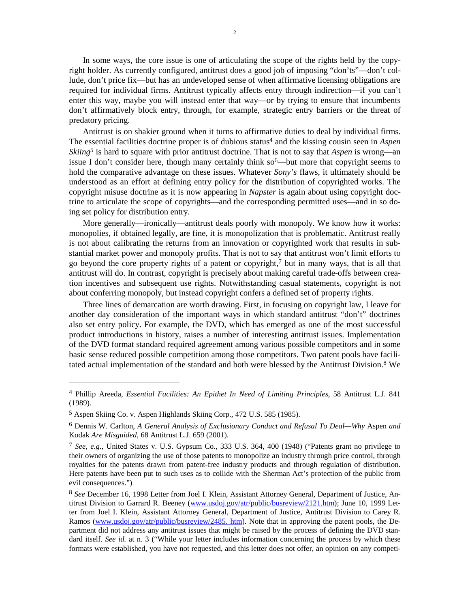In some ways, the core issue is one of articulating the scope of the rights held by the copyright holder. As currently configured, antitrust does a good job of imposing "don'ts"—don't collude, don't price fix—but has an undeveloped sense of when affirmative licensing obligations are required for individual firms. Antitrust typically affects entry through indirection—if you can't enter this way, maybe you will instead enter that way—or by trying to ensure that incumbents don't affirmatively block entry, through, for example, strategic entry barriers or the threat of predatory pricing.

Antitrust is on shakier ground when it turns to affirmative duties to deal by individual firms. The essential facilities doctrine proper is of dubious status<sup>4</sup> and the kissing cousin seen in *Aspen Skiing*5 is hard to square with prior antitrust doctrine. That is not to say that *Aspen* is wrong—an issue I don't consider here, though many certainly think  $so^6$ —but more that copyright seems to hold the comparative advantage on these issues. Whatever *Sony's* flaws, it ultimately should be understood as an effort at defining entry policy for the distribution of copyrighted works. The copyright misuse doctrine as it is now appearing in *Napster* is again about using copyright doctrine to articulate the scope of copyrights—and the corresponding permitted uses—and in so doing set policy for distribution entry.

More generally—ironically—antitrust deals poorly with monopoly. We know how it works: monopolies, if obtained legally, are fine, it is monopolization that is problematic. Antitrust really is not about calibrating the returns from an innovation or copyrighted work that results in substantial market power and monopoly profits. That is not to say that antitrust won't limit efforts to go beyond the core property rights of a patent or copyright,7 but in many ways, that is all that antitrust will do. In contrast, copyright is precisely about making careful trade-offs between creation incentives and subsequent use rights. Notwithstanding casual statements, copyright is not about conferring monopoly, but instead copyright confers a defined set of property rights.

Three lines of demarcation are worth drawing. First, in focusing on copyright law, I leave for another day consideration of the important ways in which standard antitrust "don't" doctrines also set entry policy. For example, the DVD, which has emerged as one of the most successful product introductions in history, raises a number of interesting antitrust issues. Implementation of the DVD format standard required agreement among various possible competitors and in some basic sense reduced possible competition among those competitors. Two patent pools have facilitated actual implementation of the standard and both were blessed by the Antitrust Division.8 We

-

<sup>4</sup> Phillip Areeda, *Essential Facilities: An Epithet In Need of Limiting Principles*, 58 Antitrust L.J. 841 (1989).

<sup>5</sup> Aspen Skiing Co. v. Aspen Highlands Skiing Corp., 472 U.S. 585 (1985).

<sup>6</sup> Dennis W. Carlton, *A General Analysis of Exclusionary Conduct and Refusal To Deal—Why* Aspen *and*  Kodak *Are Misguided*, 68 Antitrust L.J. 659 (2001).

<sup>7</sup> *See, e.g.,* United States v. U.S. Gypsum Co., 333 U.S. 364, 400 (1948) ("Patents grant no privilege to their owners of organizing the use of those patents to monopolize an industry through price control, through royalties for the patents drawn from patent-free industry products and through regulation of distribution. Here patents have been put to such uses as to collide with the Sherman Act's protection of the public from evil consequences.")

<sup>8</sup> *See* December 16, 1998 Letter from Joel I. Klein, Assistant Attorney General, Department of Justice, Antitrust Division to Garrard R. Beeney (www.usdoj.gov/atr/public/busreview/2121.htm); June 10, 1999 Letter from Joel I. Klein, Assistant Attorney General, Department of Justice, Antitrust Division to Carey R. Ramos (www.usdoj.gov/atr/public/busreview/2485. htm). Note that in approving the patent pools, the Department did not address any antitrust issues that might be raised by the process of defining the DVD standard itself. *See id.* at n. 3 ("While your letter includes information concerning the process by which these formats were established, you have not requested, and this letter does not offer, an opinion on any competi-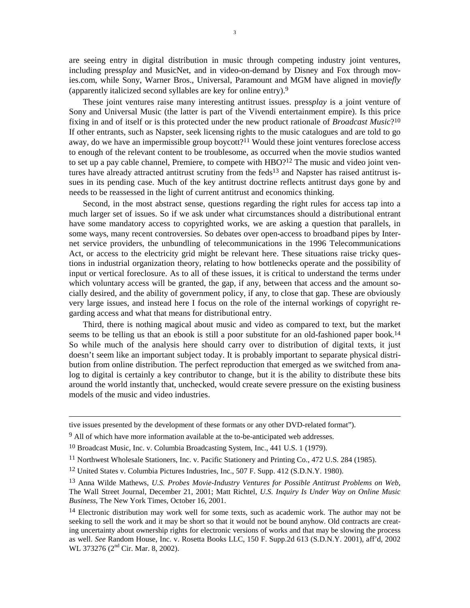are seeing entry in digital distribution in music through competing industry joint ventures, including press*play* and MusicNet, and in video-on-demand by Disney and Fox through movies.com, while Sony, Warner Bros., Universal, Paramount and MGM have aligned in movie*fly* (apparently italicized second syllables are key for online entry).9

These joint ventures raise many interesting antitrust issues. press*play* is a joint venture of Sony and Universal Music (the latter is part of the Vivendi entertainment empire). Is this price fixing in and of itself or is this protected under the new product rationale of *Broadcast Music*?10 If other entrants, such as Napster, seek licensing rights to the music catalogues and are told to go away, do we have an impermissible group boycott?<sup>11</sup> Would these joint ventures foreclose access to enough of the relevant content to be troublesome, as occurred when the movie studios wanted to set up a pay cable channel, Premiere, to compete with HBO?<sup>12</sup> The music and video joint ventures have already attracted antitrust scrutiny from the feds<sup>13</sup> and Napster has raised antitrust issues in its pending case. Much of the key antitrust doctrine reflects antitrust days gone by and needs to be reassessed in the light of current antitrust and economics thinking.

Second, in the most abstract sense, questions regarding the right rules for access tap into a much larger set of issues. So if we ask under what circumstances should a distributional entrant have some mandatory access to copyrighted works, we are asking a question that parallels, in some ways, many recent controversies. So debates over open-access to broadband pipes by Internet service providers, the unbundling of telecommunications in the 1996 Telecommunications Act, or access to the electricity grid might be relevant here. These situations raise tricky questions in industrial organization theory, relating to how bottlenecks operate and the possibility of input or vertical foreclosure. As to all of these issues, it is critical to understand the terms under which voluntary access will be granted, the gap, if any, between that access and the amount socially desired, and the ability of government policy, if any, to close that gap. These are obviously very large issues, and instead here I focus on the role of the internal workings of copyright regarding access and what that means for distributional entry.

Third, there is nothing magical about music and video as compared to text, but the market seems to be telling us that an ebook is still a poor substitute for an old-fashioned paper book.<sup>14</sup> So while much of the analysis here should carry over to distribution of digital texts, it just doesn't seem like an important subject today. It is probably important to separate physical distribution from online distribution. The perfect reproduction that emerged as we switched from analog to digital is certainly a key contributor to change, but it is the ability to distribute these bits around the world instantly that, unchecked, would create severe pressure on the existing business models of the music and video industries.

tive issues presented by the development of these formats or any other DVD-related format").

 $9$  All of which have more information available at the to-be-anticipated web addresses.

<sup>10</sup> Broadcast Music, Inc. v. Columbia Broadcasting System, Inc., 441 U.S. 1 (1979).

<sup>11</sup> Northwest Wholesale Stationers, Inc. v. Pacific Stationery and Printing Co., 472 U.S. 284 (1985).

<sup>12</sup> United States v. Columbia Pictures Industries, Inc., 507 F. Supp. 412 (S.D.N.Y. 1980).

<sup>13</sup> Anna Wilde Mathews, *U.S. Probes Movie-Industry Ventures for Possible Antitrust Problems on Web*, The Wall Street Journal, December 21, 2001; Matt Richtel, *U.S. Inquiry Is Under Way on Online Music Business*, The New York Times, October 16, 2001.

<sup>&</sup>lt;sup>14</sup> Electronic distribution may work well for some texts, such as academic work. The author may not be seeking to sell the work and it may be short so that it would not be bound anyhow. Old contracts are creating uncertainty about ownership rights for electronic versions of works and that may be slowing the process as well. *See* Random House, Inc. v. Rosetta Books LLC, 150 F. Supp.2d 613 (S.D.N.Y. 2001), aff'd, 2002 WL 373276 (2<sup>nd</sup> Cir. Mar. 8, 2002).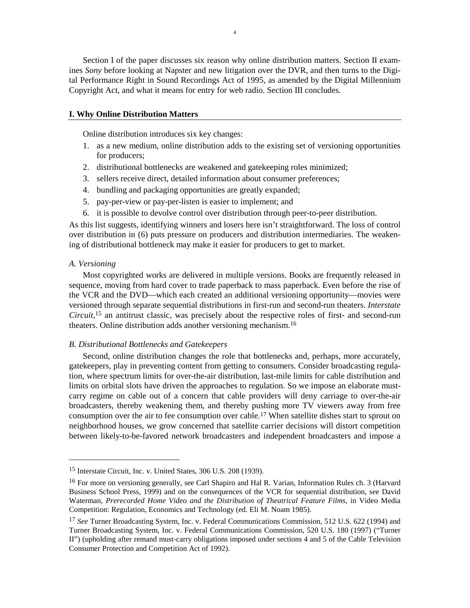Section I of the paper discusses six reason why online distribution matters. Section II examines *Sony* before looking at Napster and new litigation over the DVR, and then turns to the Digital Performance Right in Sound Recordings Act of 1995, as amended by the Digital Millennium Copyright Act, and what it means for entry for web radio. Section III concludes.

#### **I. Why Online Distribution Matters**

Online distribution introduces six key changes:

- 1. as a new medium, online distribution adds to the existing set of versioning opportunities for producers;
- 2. distributional bottlenecks are weakened and gatekeeping roles minimized;
- 3. sellers receive direct, detailed information about consumer preferences;
- 4. bundling and packaging opportunities are greatly expanded;
- 5. pay-per-view or pay-per-listen is easier to implement; and
- 6. it is possible to devolve control over distribution through peer-to-peer distribution.

As this list suggests, identifying winners and losers here isn't straightforward. The loss of control over distribution in (6) puts pressure on producers and distribution intermediaries. The weakening of distributional bottleneck may make it easier for producers to get to market.

#### *A. Versioning*

l

Most copyrighted works are delivered in multiple versions. Books are frequently released in sequence, moving from hard cover to trade paperback to mass paperback. Even before the rise of the VCR and the DVD—which each created an additional versioning opportunity—movies were versioned through separate sequential distributions in first-run and second-run theaters. *Interstate Circuit*, 15 an antitrust classic, was precisely about the respective roles of first- and second-run theaters. Online distribution adds another versioning mechanism.16

#### *B. Distributional Bottlenecks and Gatekeepers*

Second, online distribution changes the role that bottlenecks and, perhaps, more accurately, gatekeepers, play in preventing content from getting to consumers. Consider broadcasting regulation, where spectrum limits for over-the-air distribution, last-mile limits for cable distribution and limits on orbital slots have driven the approaches to regulation. So we impose an elaborate mustcarry regime on cable out of a concern that cable providers will deny carriage to over-the-air broadcasters, thereby weakening them, and thereby pushing more TV viewers away from free consumption over the air to fee consumption over cable.<sup>17</sup> When satellite dishes start to sprout on neighborhood houses, we grow concerned that satellite carrier decisions will distort competition between likely-to-be-favored network broadcasters and independent broadcasters and impose a

<sup>15</sup> Interstate Circuit, Inc. v. United States, 306 U.S. 208 (1939).

<sup>16</sup> For more on versioning generally, see Carl Shapiro and Hal R. Varian, Information Rules ch. 3 (Harvard Business School Press, 1999) and on the consequences of the VCR for sequential distribution, see David Waterman, *Prerecorded Home Video and the Distribution of Theatrical Feature Films*, in Video Media Competition: Regulation, Economics and Technology (ed. Eli M. Noam 1985).

<sup>17</sup> *See* Turner Broadcasting System, Inc. v. Federal Communications Commission, 512 U.S. 622 (1994) and Turner Broadcasting System, Inc. v. Federal Communications Commission, 520 U.S. 180 (1997) ("Turner II") (upholding after remand must-carry obligations imposed under sections 4 and 5 of the Cable Television Consumer Protection and Competition Act of 1992).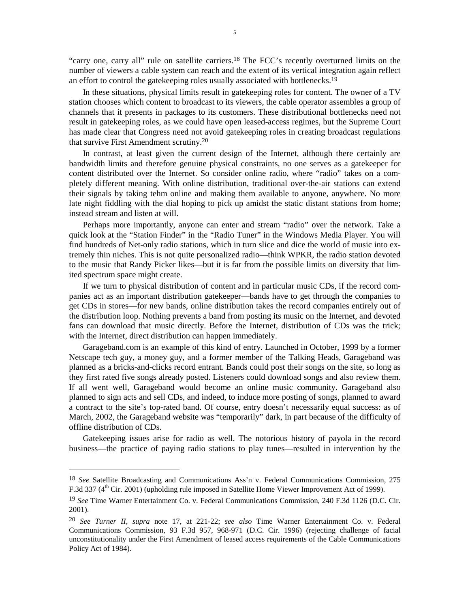"carry one, carry all" rule on satellite carriers.18 The FCC's recently overturned limits on the number of viewers a cable system can reach and the extent of its vertical integration again reflect an effort to control the gatekeeping roles usually associated with bottlenecks.19

In these situations, physical limits result in gatekeeping roles for content. The owner of a TV station chooses which content to broadcast to its viewers, the cable operator assembles a group of channels that it presents in packages to its customers. These distributional bottlenecks need not result in gatekeeping roles, as we could have open leased-access regimes, but the Supreme Court has made clear that Congress need not avoid gatekeeping roles in creating broadcast regulations that survive First Amendment scrutiny.20

In contrast, at least given the current design of the Internet, although there certainly are bandwidth limits and therefore genuine physical constraints, no one serves as a gatekeeper for content distributed over the Internet. So consider online radio, where "radio" takes on a completely different meaning. With online distribution, traditional over-the-air stations can extend their signals by taking tehm online and making them available to anyone, anywhere. No more late night fiddling with the dial hoping to pick up amidst the static distant stations from home; instead stream and listen at will.

Perhaps more importantly, anyone can enter and stream "radio" over the network. Take a quick look at the "Station Finder" in the "Radio Tuner" in the Windows Media Player. You will find hundreds of Net-only radio stations, which in turn slice and dice the world of music into extremely thin niches. This is not quite personalized radio—think WPKR, the radio station devoted to the music that Randy Picker likes—but it is far from the possible limits on diversity that limited spectrum space might create.

If we turn to physical distribution of content and in particular music CDs, if the record companies act as an important distribution gatekeeper—bands have to get through the companies to get CDs in stores—for new bands, online distribution takes the record companies entirely out of the distribution loop. Nothing prevents a band from posting its music on the Internet, and devoted fans can download that music directly. Before the Internet, distribution of CDs was the trick; with the Internet, direct distribution can happen immediately.

Garageband.com is an example of this kind of entry. Launched in October, 1999 by a former Netscape tech guy, a money guy, and a former member of the Talking Heads, Garageband was planned as a bricks-and-clicks record entrant. Bands could post their songs on the site, so long as they first rated five songs already posted. Listeners could download songs and also review them. If all went well, Garageband would become an online music community. Garageband also planned to sign acts and sell CDs, and indeed, to induce more posting of songs, planned to award a contract to the site's top-rated band. Of course, entry doesn't necessarily equal success: as of March, 2002, the Garageband website was "temporarily" dark, in part because of the difficulty of offline distribution of CDs.

Gatekeeping issues arise for radio as well. The notorious history of payola in the record business—the practice of paying radio stations to play tunes—resulted in intervention by the

<sup>18</sup> *See* Satellite Broadcasting and Communications Ass'n v. Federal Communications Commission, 275 F.3d 337 (4<sup>th</sup> Cir. 2001) (upholding rule imposed in Satellite Home Viewer Improvement Act of 1999).

<sup>19</sup> *See* Time Warner Entertainment Co. v. Federal Communications Commission, 240 F.3d 1126 (D.C. Cir. 2001).

<sup>20</sup> *See Turner II*, *supra* note 17, at 221-22; *see also* Time Warner Entertainment Co. v. Federal Communications Commission, 93 F.3d 957, 968-971 (D.C. Cir. 1996) (rejecting challenge of facial unconstitutionality under the First Amendment of leased access requirements of the Cable Communications Policy Act of 1984).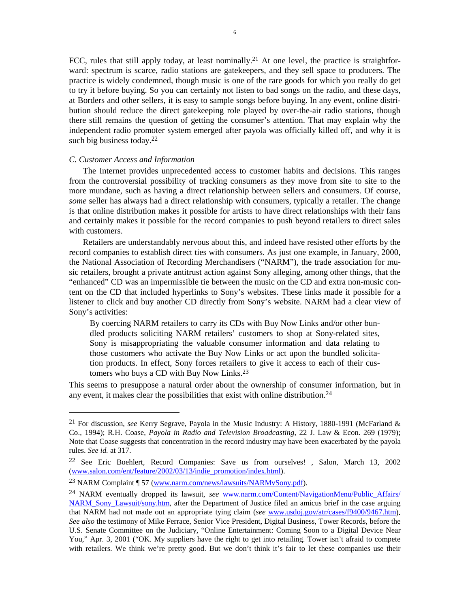FCC, rules that still apply today, at least nominally.<sup>21</sup> At one level, the practice is straightforward: spectrum is scarce, radio stations are gatekeepers, and they sell space to producers. The practice is widely condemned, though music is one of the rare goods for which you really do get to try it before buying. So you can certainly not listen to bad songs on the radio, and these days, at Borders and other sellers, it is easy to sample songs before buying. In any event, online distribution should reduce the direct gatekeeping role played by over-the-air radio stations, though there still remains the question of getting the consumer's attention. That may explain why the independent radio promoter system emerged after payola was officially killed off, and why it is such big business today.<sup>22</sup>

#### *C. Customer Access and Information*

 $\overline{a}$ 

The Internet provides unprecedented access to customer habits and decisions. This ranges from the controversial possibility of tracking consumers as they move from site to site to the more mundane, such as having a direct relationship between sellers and consumers. Of course, *some* seller has always had a direct relationship with consumers, typically a retailer. The change is that online distribution makes it possible for artists to have direct relationships with their fans and certainly makes it possible for the record companies to push beyond retailers to direct sales with customers.

Retailers are understandably nervous about this, and indeed have resisted other efforts by the record companies to establish direct ties with consumers. As just one example, in January, 2000, the National Association of Recording Merchandisers ("NARM"), the trade association for music retailers, brought a private antitrust action against Sony alleging, among other things, that the "enhanced" CD was an impermissible tie between the music on the CD and extra non-music content on the CD that included hyperlinks to Sony's websites. These links made it possible for a listener to click and buy another CD directly from Sony's website. NARM had a clear view of Sony's activities:

By coercing NARM retailers to carry its CDs with Buy Now Links and/or other bundled products soliciting NARM retailers' customers to shop at Sony-related sites, Sony is misappropriating the valuable consumer information and data relating to those customers who activate the Buy Now Links or act upon the bundled solicitation products. In effect, Sony forces retailers to give it access to each of their customers who buys a CD with Buy Now Links.23

This seems to presuppose a natural order about the ownership of consumer information, but in any event, it makes clear the possibilities that exist with online distribution.24

<sup>21</sup> For discussion, *see* Kerry Segrave, Payola in the Music Industry: A History, 1880-1991 (McFarland & Co., 1994); R.H. Coase, *Payola in Radio and Television Broadcasting*, 22 J. Law & Econ. 269 (1979); Note that Coase suggests that concentration in the record industry may have been exacerbated by the payola rules. *See id.* at 317.

<sup>22</sup> See Eric Boehlert, Record Companies: Save us from ourselves! , Salon, March 13, 2002 (www.salon.com/ent/feature/2002/03/13/indie\_promotion/index.html).

<sup>23</sup> NARM Complaint ¶ 57 (www.narm.com/news/lawsuits/NARMvSony.pdf).

<sup>24</sup> NARM eventually dropped its lawsuit, *see* www.narm.com/Content/NavigationMenu/Public\_Affairs/ NARM Sony Lawsuit/sony.htm, after the Department of Justice filed an amicus brief in the case arguing that NARM had not made out an appropriate tying claim (*see* www.usdoj.gov/atr/cases/f9400/9467.htm). *See also* the testimony of Mike Ferrace, Senior Vice President, Digital Business, Tower Records, before the U.S. Senate Committee on the Judiciary, "Online Entertainment: Coming Soon to a Digital Device Near You," Apr. 3, 2001 ("OK. My suppliers have the right to get into retailing. Tower isn't afraid to compete with retailers. We think we're pretty good. But we don't think it's fair to let these companies use their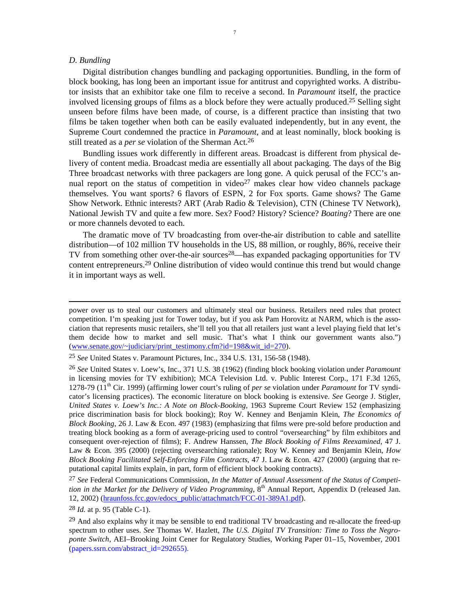#### *D. Bundling*

-

Digital distribution changes bundling and packaging opportunities. Bundling, in the form of block booking, has long been an important issue for antitrust and copyrighted works. A distributor insists that an exhibitor take one film to receive a second. In *Paramount* itself, the practice involved licensing groups of films as a block before they were actually produced.25 Selling sight unseen before films have been made, of course, is a different practice than insisting that two films be taken together when both can be easily evaluated independently, but in any event, the Supreme Court condemned the practice in *Paramount*, and at least nominally, block booking is still treated as a *per se* violation of the Sherman Act.26

Bundling issues work differently in different areas. Broadcast is different from physical delivery of content media. Broadcast media are essentially all about packaging. The days of the Big Three broadcast networks with three packagers are long gone. A quick perusal of the FCC's annual report on the status of competition in video<sup>27</sup> makes clear how video channels package themselves. You want sports? 6 flavors of ESPN, 2 for Fox sports. Game shows? The Game Show Network. Ethnic interests? ART (Arab Radio & Television), CTN (Chinese TV Network), National Jewish TV and quite a few more. Sex? Food? History? Science? *Boating*? There are one or more channels devoted to each.

The dramatic move of TV broadcasting from over-the-air distribution to cable and satellite distribution—of 102 million TV households in the US, 88 million, or roughly, 86%, receive their TV from something other over-the-air sources<sup>28</sup>—has expanded packaging opportunities for TV content entrepreneurs.29 Online distribution of video would continue this trend but would change it in important ways as well.

27 *See* Federal Communications Commission, *In the Matter of Annual Assessment of the Status of Competition in the Market for the Delivery of Video Programming*,  $8<sup>th</sup>$  Annual Report, Appendix D (released Jan. 12, 2002) (hraunfoss.fcc.gov/edocs\_public/attachmatch/FCC-01-389A1.pdf).

28 *Id.* at p. 95 (Table C-1).

power over us to steal our customers and ultimately steal our business. Retailers need rules that protect competition. I'm speaking just for Tower today, but if you ask Pam Horovitz at NARM, which is the association that represents music retailers, she'll tell you that all retailers just want a level playing field that let's them decide how to market and sell music. That's what I think our government wants also.") (www.senate.gov/~judiciary/print\_testimony.cfm?id=198&wit\_id=270).

<sup>25</sup> *See* United States v. Paramount Pictures, Inc., 334 U.S. 131, 156-58 (1948).

<sup>26</sup> *See* United States v. Loew's, Inc., 371 U.S. 38 (1962) (finding block booking violation under *Paramount* in licensing movies for TV exhibition); MCA Television Ltd. v. Public Interest Corp., 171 F.3d 1265, 1278-79 (11th Cir. 1999) (affirming lower court's ruling of *per se* violation under *Paramount* for TV syndicator's licensing practices). The economic literature on block booking is extensive. *See* George J. Stigler, *United States v. Loew's Inc.: A Note on Block-Booking*, 1963 Supreme Court Review 152 (emphasizing price discrimination basis for block booking); Roy W. Kenney and Benjamin Klein, *The Economics of Block Booking*, 26 J. Law & Econ. 497 (1983) (emphasizing that films were pre-sold before production and treating block booking as a form of average-pricing used to control "oversearching" by film exhibitors and consequent over-rejection of films); F. Andrew Hanssen, *The Block Booking of Films Reexamined*, 47 J. Law & Econ. 395 (2000) (rejecting oversearching rationale); Roy W. Kenney and Benjamin Klein, *How Block Booking Facilitated Self-Enforcing Film Contracts*, 47 J. Law & Econ. 427 (2000) (arguing that reputational capital limits explain, in part, form of efficient block booking contracts).

 $^{29}$  And also explains why it may be sensible to end traditional TV broadcasting and re-allocate the freed-up spectrum to other uses. *See* Thomas W. Hazlett, *The U.S. Digital TV Transition: Time to Toss the Negroponte Switch*, AEI–Brooking Joint Cener for Regulatory Studies, Working Paper 01–15, November, 2001 (papers.ssrn.com/abstract\_id=292655).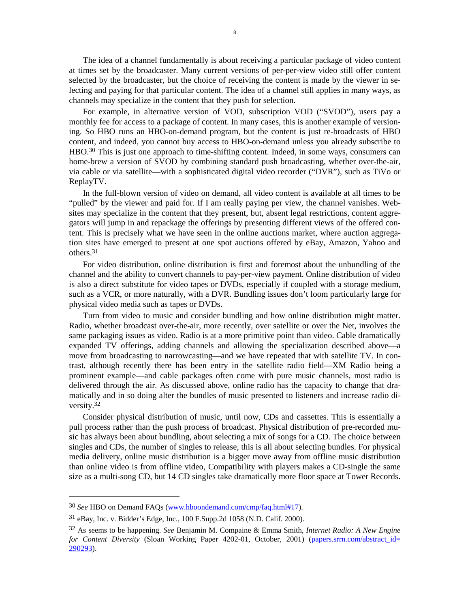The idea of a channel fundamentally is about receiving a particular package of video content at times set by the broadcaster. Many current versions of per-per-view video still offer content selected by the broadcaster, but the choice of receiving the content is made by the viewer in selecting and paying for that particular content. The idea of a channel still applies in many ways, as channels may specialize in the content that they push for selection.

For example, in alternative version of VOD, subscription VOD ("SVOD"), users pay a monthly fee for access to a package of content. In many cases, this is another example of versioning. So HBO runs an HBO-on-demand program, but the content is just re-broadcasts of HBO content, and indeed, you cannot buy access to HBO-on-demand unless you already subscribe to HBO.30 This is just one approach to time-shifting content. Indeed, in some ways, consumers can home-brew a version of SVOD by combining standard push broadcasting, whether over-the-air, via cable or via satellite—with a sophisticated digital video recorder ("DVR"), such as TiVo or ReplayTV.

In the full-blown version of video on demand, all video content is available at all times to be "pulled" by the viewer and paid for. If I am really paying per view, the channel vanishes. Websites may specialize in the content that they present, but, absent legal restrictions, content aggregators will jump in and repackage the offerings by presenting different views of the offered content. This is precisely what we have seen in the online auctions market, where auction aggregation sites have emerged to present at one spot auctions offered by eBay, Amazon, Yahoo and others.31

For video distribution, online distribution is first and foremost about the unbundling of the channel and the ability to convert channels to pay-per-view payment. Online distribution of video is also a direct substitute for video tapes or DVDs, especially if coupled with a storage medium, such as a VCR, or more naturally, with a DVR. Bundling issues don't loom particularly large for physical video media such as tapes or DVDs.

Turn from video to music and consider bundling and how online distribution might matter. Radio, whether broadcast over-the-air, more recently, over satellite or over the Net, involves the same packaging issues as video. Radio is at a more primitive point than video. Cable dramatically expanded TV offerings, adding channels and allowing the specialization described above—a move from broadcasting to narrowcasting—and we have repeated that with satellite TV. In contrast, although recently there has been entry in the satellite radio field—XM Radio being a prominent example—and cable packages often come with pure music channels, most radio is delivered through the air. As discussed above, online radio has the capacity to change that dramatically and in so doing alter the bundles of music presented to listeners and increase radio diversity.<sup>32</sup>

Consider physical distribution of music, until now, CDs and cassettes. This is essentially a pull process rather than the push process of broadcast. Physical distribution of pre-recorded music has always been about bundling, about selecting a mix of songs for a CD. The choice between singles and CDs, the number of singles to release, this is all about selecting bundles. For physical media delivery, online music distribution is a bigger move away from offline music distribution than online video is from offline video, Compatibility with players makes a CD-single the same size as a multi-song CD, but 14 CD singles take dramatically more floor space at Tower Records.

<sup>30</sup> *See* HBO on Demand FAQs (www.hboondemand.com/cmp/faq.html#17).

<sup>31</sup> eBay, Inc. v. Bidder's Edge, Inc., 100 F.Supp.2d 1058 (N.D. Calif. 2000).

<sup>32</sup> As seems to be happening. *See* Benjamin M. Compaine & Emma Smith, *Internet Radio: A New Engine for Content Diversity* (Sloan Working Paper 4202-01, October, 2001) (papers.srrn.com/abstract id= 290293).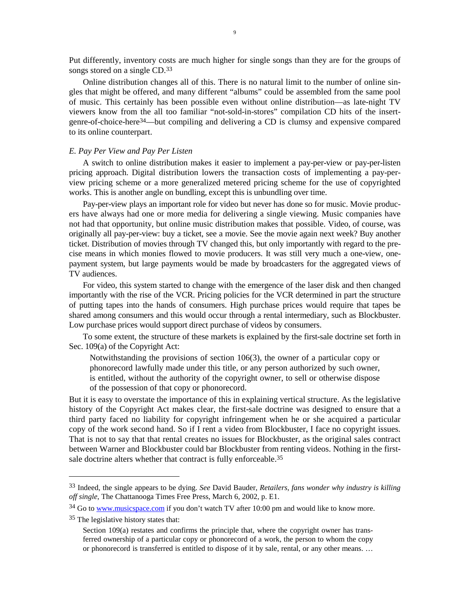Put differently, inventory costs are much higher for single songs than they are for the groups of songs stored on a single CD.<sup>33</sup>

Online distribution changes all of this. There is no natural limit to the number of online singles that might be offered, and many different "albums" could be assembled from the same pool of music. This certainly has been possible even without online distribution—as late-night TV viewers know from the all too familiar "not-sold-in-stores" compilation CD hits of the insertgenre-of-choice-here34—but compiling and delivering a CD is clumsy and expensive compared to its online counterpart.

#### *E. Pay Per View and Pay Per Listen*

A switch to online distribution makes it easier to implement a pay-per-view or pay-per-listen pricing approach. Digital distribution lowers the transaction costs of implementing a pay-perview pricing scheme or a more generalized metered pricing scheme for the use of copyrighted works. This is another angle on bundling, except this is unbundling over time.

Pay-per-view plays an important role for video but never has done so for music. Movie producers have always had one or more media for delivering a single viewing. Music companies have not had that opportunity, but online music distribution makes that possible. Video, of course, was originally all pay-per-view: buy a ticket, see a movie. See the movie again next week? Buy another ticket. Distribution of movies through TV changed this, but only importantly with regard to the precise means in which monies flowed to movie producers. It was still very much a one-view, onepayment system, but large payments would be made by broadcasters for the aggregated views of TV audiences.

For video, this system started to change with the emergence of the laser disk and then changed importantly with the rise of the VCR. Pricing policies for the VCR determined in part the structure of putting tapes into the hands of consumers. High purchase prices would require that tapes be shared among consumers and this would occur through a rental intermediary, such as Blockbuster. Low purchase prices would support direct purchase of videos by consumers.

To some extent, the structure of these markets is explained by the first-sale doctrine set forth in Sec. 109(a) of the Copyright Act:

Notwithstanding the provisions of section 106(3), the owner of a particular copy or phonorecord lawfully made under this title, or any person authorized by such owner, is entitled, without the authority of the copyright owner, to sell or otherwise dispose of the possession of that copy or phonorecord.

But it is easy to overstate the importance of this in explaining vertical structure. As the legislative history of the Copyright Act makes clear, the first-sale doctrine was designed to ensure that a third party faced no liability for copyright infringement when he or she acquired a particular copy of the work second hand. So if I rent a video from Blockbuster, I face no copyright issues. That is not to say that that rental creates no issues for Blockbuster, as the original sales contract between Warner and Blockbuster could bar Blockbuster from renting videos. Nothing in the firstsale doctrine alters whether that contract is fully enforceable.<sup>35</sup>

1

<sup>33</sup> Indeed, the single appears to be dying. *See* David Bauder, *Retailers, fans wonder why industry is killing off single*, The Chattanooga Times Free Press, March 6, 2002, p. E1.

<sup>&</sup>lt;sup>34</sup> Go to www.musicspace.com if you don't watch TV after 10:00 pm and would like to know more.

<sup>35</sup> The legislative history states that:

Section 109(a) restates and confirms the principle that, where the copyright owner has transferred ownership of a particular copy or phonorecord of a work, the person to whom the copy or phonorecord is transferred is entitled to dispose of it by sale, rental, or any other means. …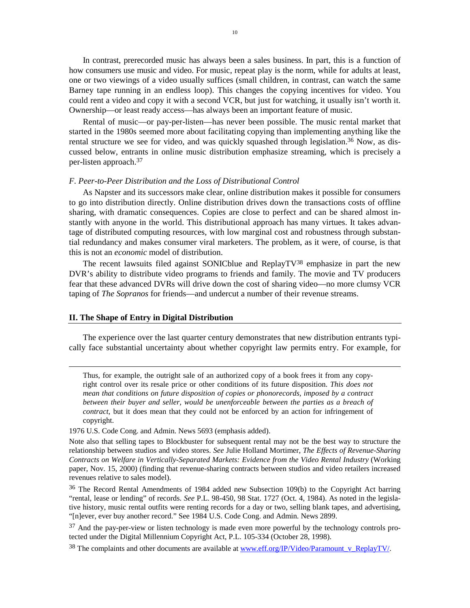In contrast, prerecorded music has always been a sales business. In part, this is a function of how consumers use music and video. For music, repeat play is the norm, while for adults at least, one or two viewings of a video usually suffices (small children, in contrast, can watch the same Barney tape running in an endless loop). This changes the copying incentives for video. You could rent a video and copy it with a second VCR, but just for watching, it usually isn't worth it. Ownership—or least ready access—has always been an important feature of music.

Rental of music—or pay-per-listen—has never been possible. The music rental market that started in the 1980s seemed more about facilitating copying than implementing anything like the rental structure we see for video, and was quickly squashed through legislation.<sup>36</sup> Now, as discussed below, entrants in online music distribution emphasize streaming, which is precisely a per-listen approach.37

#### *F. Peer-to-Peer Distribution and the Loss of Distributional Control*

As Napster and its successors make clear, online distribution makes it possible for consumers to go into distribution directly. Online distribution drives down the transactions costs of offline sharing, with dramatic consequences. Copies are close to perfect and can be shared almost instantly with anyone in the world. This distributional approach has many virtues. It takes advantage of distributed computing resources, with low marginal cost and robustness through substantial redundancy and makes consumer viral marketers. The problem, as it were, of course, is that this is not an *economic* model of distribution.

The recent lawsuits filed against SONICblue and ReplayTV<sup>38</sup> emphasize in part the new DVR's ability to distribute video programs to friends and family. The movie and TV producers fear that these advanced DVRs will drive down the cost of sharing video—no more clumsy VCR taping of *The Sopranos* for friends—and undercut a number of their revenue streams.

#### **II. The Shape of Entry in Digital Distribution**

 $\overline{a}$ 

The experience over the last quarter century demonstrates that new distribution entrants typically face substantial uncertainty about whether copyright law permits entry. For example, for

Thus, for example, the outright sale of an authorized copy of a book frees it from any copyright control over its resale price or other conditions of its future disposition. *This does not mean that conditions on future disposition of copies or phonorecords, imposed by a contract*  between their buyer and seller, would be unenforceable between the parties as a breach of *contract*, but it does mean that they could not be enforced by an action for infringement of copyright.

1976 U.S. Code Cong. and Admin. News 5693 (emphasis added).

Note also that selling tapes to Blockbuster for subsequent rental may not be the best way to structure the relationship between studios and video stores. *See* Julie Holland Mortimer, *The Effects of Revenue-Sharing Contracts on Welfare in Vertically-Separated Markets: Evidence from the Video Rental Industry* (Working paper, Nov. 15, 2000) (finding that revenue-sharing contracts between studios and video retailers increased revenues relative to sales model).

36 The Record Rental Amendments of 1984 added new Subsection 109(b) to the Copyright Act barring "rental, lease or lending" of records. *See* P.L. 98-450, 98 Stat. 1727 (Oct. 4, 1984). As noted in the legislative history, music rental outfits were renting records for a day or two, selling blank tapes, and advertising, "[n]ever, ever buy another record." See 1984 U.S. Code Cong. and Admin. News 2899.

 $37$  And the pay-per-view or listen technology is made even more powerful by the technology controls protected under the Digital Millennium Copyright Act, P.L. 105-334 (October 28, 1998).

<sup>38</sup> The complaints and other documents are available at www.eff.org/IP/Video/Paramount v\_ReplayTV/.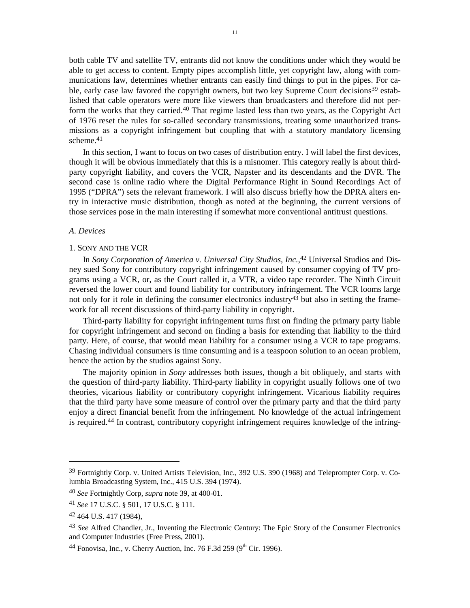both cable TV and satellite TV, entrants did not know the conditions under which they would be able to get access to content. Empty pipes accomplish little, yet copyright law, along with communications law, determines whether entrants can easily find things to put in the pipes. For cable, early case law favored the copyright owners, but two key Supreme Court decisions<sup>39</sup> established that cable operators were more like viewers than broadcasters and therefore did not perform the works that they carried.40 That regime lasted less than two years, as the Copyright Act of 1976 reset the rules for so-called secondary transmissions, treating some unauthorized transmissions as a copyright infringement but coupling that with a statutory mandatory licensing scheme.<sup>41</sup>

In this section, I want to focus on two cases of distribution entry. I will label the first devices, though it will be obvious immediately that this is a misnomer. This category really is about thirdparty copyright liability, and covers the VCR, Napster and its descendants and the DVR. The second case is online radio where the Digital Performance Right in Sound Recordings Act of 1995 ("DPRA") sets the relevant framework. I will also discuss briefly how the DPRA alters entry in interactive music distribution, though as noted at the beginning, the current versions of those services pose in the main interesting if somewhat more conventional antitrust questions.

#### *A. Devices*

#### 1. SONY AND THE VCR

In *Sony Corporation of America v. Universal City Studios, Inc.*, 42 Universal Studios and Disney sued Sony for contributory copyright infringement caused by consumer copying of TV programs using a VCR, or, as the Court called it, a VTR, a video tape recorder. The Ninth Circuit reversed the lower court and found liability for contributory infringement. The VCR looms large not only for it role in defining the consumer electronics industry<sup>43</sup> but also in setting the framework for all recent discussions of third-party liability in copyright.

Third-party liability for copyright infringement turns first on finding the primary party liable for copyright infringement and second on finding a basis for extending that liability to the third party. Here, of course, that would mean liability for a consumer using a VCR to tape programs. Chasing individual consumers is time consuming and is a teaspoon solution to an ocean problem, hence the action by the studios against Sony.

The majority opinion in *Sony* addresses both issues, though a bit obliquely, and starts with the question of third-party liability. Third-party liability in copyright usually follows one of two theories, vicarious liability or contributory copyright infringement. Vicarious liability requires that the third party have some measure of control over the primary party and that the third party enjoy a direct financial benefit from the infringement. No knowledge of the actual infringement is required.<sup>44</sup> In contrast, contributory copyright infringement requires knowledge of the infring-

<sup>39</sup> Fortnightly Corp. v. United Artists Television, Inc., 392 U.S. 390 (1968) and Teleprompter Corp. v. Columbia Broadcasting System, Inc., 415 U.S. 394 (1974).

<sup>40</sup> *See* Fortnightly Corp, *supra* note 39, at 400-01.

<sup>41</sup> *See* 17 U.S.C. § 501, 17 U.S.C. § 111.

<sup>42 464</sup> U.S. 417 (1984),

<sup>43</sup> *See* Alfred Chandler, Jr., Inventing the Electronic Century: The Epic Story of the Consumer Electronics and Computer Industries (Free Press, 2001).

<sup>&</sup>lt;sup>44</sup> Fonovisa, Inc., v. Cherry Auction, Inc. 76 F.3d 259 (9<sup>th</sup> Cir. 1996).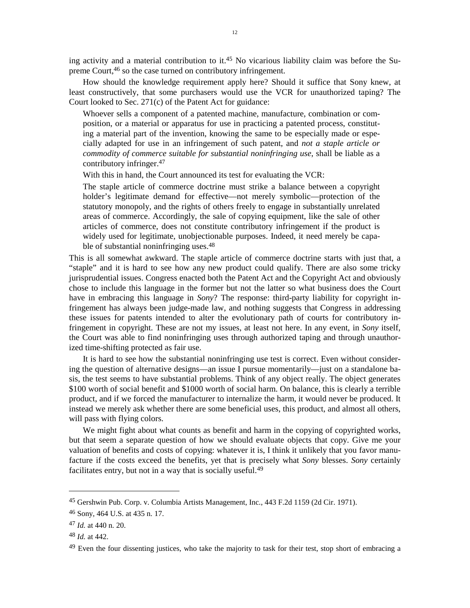ing activity and a material contribution to it.45 No vicarious liability claim was before the Supreme Court,46 so the case turned on contributory infringement.

How should the knowledge requirement apply here? Should it suffice that Sony knew, at least constructively, that some purchasers would use the VCR for unauthorized taping? The Court looked to Sec. 271(c) of the Patent Act for guidance:

Whoever sells a component of a patented machine, manufacture, combination or composition, or a material or apparatus for use in practicing a patented process, constituting a material part of the invention, knowing the same to be especially made or especially adapted for use in an infringement of such patent, and *not a staple article or commodity of commerce suitable for substantial noninfringing use*, shall be liable as a contributory infringer.47

With this in hand, the Court announced its test for evaluating the VCR:

The staple article of commerce doctrine must strike a balance between a copyright holder's legitimate demand for effective—not merely symbolic—protection of the statutory monopoly, and the rights of others freely to engage in substantially unrelated areas of commerce. Accordingly, the sale of copying equipment, like the sale of other articles of commerce, does not constitute contributory infringement if the product is widely used for legitimate, unobjectionable purposes. Indeed, it need merely be capable of substantial noninfringing uses.48

This is all somewhat awkward. The staple article of commerce doctrine starts with just that, a "staple" and it is hard to see how any new product could qualify. There are also some tricky jurisprudential issues. Congress enacted both the Patent Act and the Copyright Act and obviously chose to include this language in the former but not the latter so what business does the Court have in embracing this language in *Sony*? The response: third-party liability for copyright infringement has always been judge-made law, and nothing suggests that Congress in addressing these issues for patents intended to alter the evolutionary path of courts for contributory infringement in copyright. These are not my issues, at least not here. In any event, in *Sony* itself, the Court was able to find noninfringing uses through authorized taping and through unauthorized time-shifting protected as fair use.

It is hard to see how the substantial noninfringing use test is correct. Even without considering the question of alternative designs—an issue I pursue momentarily—just on a standalone basis, the test seems to have substantial problems. Think of any object really. The object generates \$100 worth of social benefit and \$1000 worth of social harm. On balance, this is clearly a terrible product, and if we forced the manufacturer to internalize the harm, it would never be produced. It instead we merely ask whether there are some beneficial uses, this product, and almost all others, will pass with flying colors.

We might fight about what counts as benefit and harm in the copying of copyrighted works, but that seem a separate question of how we should evaluate objects that copy. Give me your valuation of benefits and costs of copying: whatever it is, I think it unlikely that you favor manufacture if the costs exceed the benefits, yet that is precisely what *Sony* blesses. *Sony* certainly facilitates entry, but not in a way that is socially useful.49

<sup>45</sup> Gershwin Pub. Corp. v. Columbia Artists Management, Inc., 443 F.2d 1159 (2d Cir. 1971).

<sup>46</sup> Sony, 464 U.S. at 435 n. 17.

<sup>47</sup> *Id.* at 440 n. 20.

<sup>48</sup> *Id.* at 442.

<sup>&</sup>lt;sup>49</sup> Even the four dissenting justices, who take the majority to task for their test, stop short of embracing a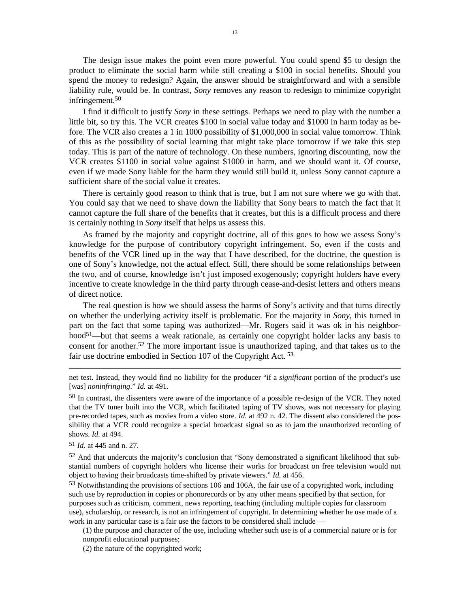The design issue makes the point even more powerful. You could spend \$5 to design the product to eliminate the social harm while still creating a \$100 in social benefits. Should you spend the money to redesign? Again, the answer should be straightforward and with a sensible liability rule, would be. In contrast, *Sony* removes any reason to redesign to minimize copyright infringement.50

I find it difficult to justify *Sony* in these settings. Perhaps we need to play with the number a little bit, so try this. The VCR creates \$100 in social value today and \$1000 in harm today as before. The VCR also creates a 1 in 1000 possibility of \$1,000,000 in social value tomorrow. Think of this as the possibility of social learning that might take place tomorrow if we take this step today. This is part of the nature of technology. On these numbers, ignoring discounting, now the VCR creates \$1100 in social value against \$1000 in harm, and we should want it. Of course, even if we made Sony liable for the harm they would still build it, unless Sony cannot capture a sufficient share of the social value it creates.

There is certainly good reason to think that is true, but I am not sure where we go with that. You could say that we need to shave down the liability that Sony bears to match the fact that it cannot capture the full share of the benefits that it creates, but this is a difficult process and there is certainly nothing in *Sony* itself that helps us assess this.

As framed by the majority and copyright doctrine, all of this goes to how we assess Sony's knowledge for the purpose of contributory copyright infringement. So, even if the costs and benefits of the VCR lined up in the way that I have described, for the doctrine, the question is one of Sony's knowledge, not the actual effect. Still, there should be some relationships between the two, and of course, knowledge isn't just imposed exogenously; copyright holders have every incentive to create knowledge in the third party through cease-and-desist letters and others means of direct notice.

The real question is how we should assess the harms of Sony's activity and that turns directly on whether the underlying activity itself is problematic. For the majority in *Sony*, this turned in part on the fact that some taping was authorized—Mr. Rogers said it was ok in his neighborhood<sup>51</sup>—but that seems a weak rationale, as certainly one copyright holder lacks any basis to consent for another.52 The more important issue is unauthorized taping, and that takes us to the fair use doctrine embodied in Section 107 of the Copyright Act. 53

net test. Instead, they would find no liability for the producer "if a *significant* portion of the product's use [was] *noninfringing*." *Id.* at 491.

50 In contrast, the dissenters were aware of the importance of a possible re-design of the VCR. They noted that the TV tuner built into the VCR, which facilitated taping of TV shows, was not necessary for playing pre-recorded tapes, such as movies from a video store. *Id.* at 492 n. 42. The dissent also considered the possibility that a VCR could recognize a special broadcast signal so as to jam the unauthorized recording of shows. *Id.* at 494.

51 *Id.* at 445 and n. 27.

l

 $52$  And that undercuts the majority's conclusion that "Sony demonstrated a significant likelihood that substantial numbers of copyright holders who license their works for broadcast on free television would not object to having their broadcasts time-shifted by private viewers." *Id.* at 456.

53 Notwithstanding the provisions of sections 106 and 106A, the fair use of a copyrighted work, including such use by reproduction in copies or phonorecords or by any other means specified by that section, for purposes such as criticism, comment, news reporting, teaching (including multiple copies for classroom use), scholarship, or research, is not an infringement of copyright. In determining whether he use made of a work in any particular case is a fair use the factors to be considered shall include —

(1) the purpose and character of the use, including whether such use is of a commercial nature or is for nonprofit educational purposes;

(2) the nature of the copyrighted work;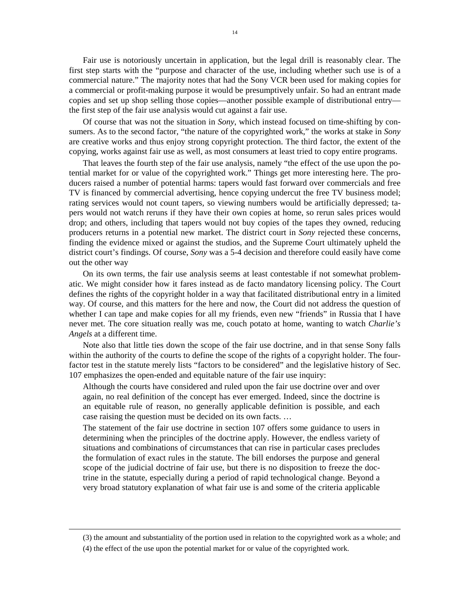Fair use is notoriously uncertain in application, but the legal drill is reasonably clear. The first step starts with the "purpose and character of the use, including whether such use is of a commercial nature." The majority notes that had the Sony VCR been used for making copies for a commercial or profit-making purpose it would be presumptively unfair. So had an entrant made copies and set up shop selling those copies—another possible example of distributional entry the first step of the fair use analysis would cut against a fair use.

Of course that was not the situation in *Sony*, which instead focused on time-shifting by consumers. As to the second factor, "the nature of the copyrighted work," the works at stake in *Sony* are creative works and thus enjoy strong copyright protection. The third factor, the extent of the copying, works against fair use as well, as most consumers at least tried to copy entire programs.

That leaves the fourth step of the fair use analysis, namely "the effect of the use upon the potential market for or value of the copyrighted work." Things get more interesting here. The producers raised a number of potential harms: tapers would fast forward over commercials and free TV is financed by commercial advertising, hence copying undercut the free TV business model; rating services would not count tapers, so viewing numbers would be artificially depressed; tapers would not watch reruns if they have their own copies at home, so rerun sales prices would drop; and others, including that tapers would not buy copies of the tapes they owned, reducing producers returns in a potential new market. The district court in *Sony* rejected these concerns, finding the evidence mixed or against the studios, and the Supreme Court ultimately upheld the district court's findings. Of course, *Sony* was a 5-4 decision and therefore could easily have come out the other way

On its own terms, the fair use analysis seems at least contestable if not somewhat problematic. We might consider how it fares instead as de facto mandatory licensing policy. The Court defines the rights of the copyright holder in a way that facilitated distributional entry in a limited way. Of course, and this matters for the here and now, the Court did not address the question of whether I can tape and make copies for all my friends, even new "friends" in Russia that I have never met. The core situation really was me, couch potato at home, wanting to watch *Charlie's Angels* at a different time.

Note also that little ties down the scope of the fair use doctrine, and in that sense Sony falls within the authority of the courts to define the scope of the rights of a copyright holder. The fourfactor test in the statute merely lists "factors to be considered" and the legislative history of Sec. 107 emphasizes the open-ended and equitable nature of the fair use inquiry:

Although the courts have considered and ruled upon the fair use doctrine over and over again, no real definition of the concept has ever emerged. Indeed, since the doctrine is an equitable rule of reason, no generally applicable definition is possible, and each case raising the question must be decided on its own facts. …

The statement of the fair use doctrine in section 107 offers some guidance to users in determining when the principles of the doctrine apply. However, the endless variety of situations and combinations of circumstances that can rise in particular cases precludes the formulation of exact rules in the statute. The bill endorses the purpose and general scope of the judicial doctrine of fair use, but there is no disposition to freeze the doctrine in the statute, especially during a period of rapid technological change. Beyond a very broad statutory explanation of what fair use is and some of the criteria applicable

<sup>(3)</sup> the amount and substantiality of the portion used in relation to the copyrighted work as a whole; and

<sup>(4)</sup> the effect of the use upon the potential market for or value of the copyrighted work.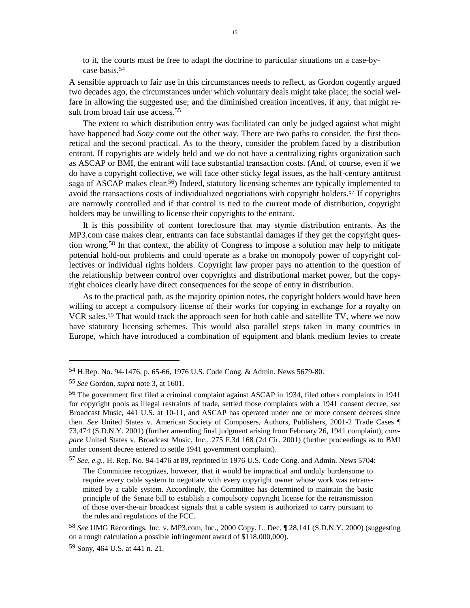to it, the courts must be free to adapt the doctrine to particular situations on a case-bycase basis.54

A sensible approach to fair use in this circumstances needs to reflect, as Gordon cogently argued two decades ago, the circumstances under which voluntary deals might take place; the social welfare in allowing the suggested use; and the diminished creation incentives, if any, that might result from broad fair use access.<sup>55</sup>

The extent to which distribution entry was facilitated can only be judged against what might have happened had *Sony* come out the other way. There are two paths to consider, the first theoretical and the second practical. As to the theory, consider the problem faced by a distribution entrant. If copyrights are widely held and we do not have a centralizing rights organization such as ASCAP or BMI, the entrant will face substantial transaction costs. (And, of course, even if we do have a copyright collective, we will face other sticky legal issues, as the half-century antitrust saga of ASCAP makes clear.<sup>56</sup>) Indeed, statutory licensing schemes are typically implemented to avoid the transactions costs of individualized negotiations with copyright holders.<sup>57</sup> If copyrights are narrowly controlled and if that control is tied to the current mode of distribution, copyright holders may be unwilling to license their copyrights to the entrant.

It is this possibility of content foreclosure that may stymie distribution entrants. As the MP3.com case makes clear, entrants can face substantial damages if they get the copyright question wrong.58 In that context, the ability of Congress to impose a solution may help to mitigate potential hold-out problems and could operate as a brake on monopoly power of copyright collectives or individual rights holders. Copyright law proper pays no attention to the question of the relationship between control over copyrights and distributional market power, but the copyright choices clearly have direct consequences for the scope of entry in distribution.

As to the practical path, as the majority opinion notes, the copyright holders would have been willing to accept a compulsory license of their works for copying in exchange for a royalty on VCR sales.59 That would track the approach seen for both cable and satellite TV, where we now have statutory licensing schemes. This would also parallel steps taken in many countries in Europe, which have introduced a combination of equipment and blank medium levies to create

l

57 *See*, *e.g.*, H. Rep. No. 94-1476 at 89, reprinted in 1976 U.S. Code Cong. and Admin. News 5704:

<sup>54</sup> H.Rep. No. 94-1476, p. 65-66, 1976 U.S. Code Cong. & Admin. News 5679-80.

<sup>55</sup> *See* Gordon, *supra* note 3, at 1601.

<sup>56</sup> The government first filed a criminal complaint against ASCAP in 1934, filed others complaints in 1941 for copyright pools as illegal restraints of trade, settled those complaints with a 1941 consent decree, *see* Broadcast Music, 441 U.S. at 10-11, and ASCAP has operated under one or more consent decrees since then. *See* United States v. American Society of Composers, Authors, Publishers, 2001-2 Trade Cases ¶ 73,474 (S.D.N.Y. 2001) (further amending final judgment arising from February 26, 1941 complaint); *compare* United States v. Broadcast Music, Inc., 275 F.3d 168 (2d Cir. 2001) (further proceedings as to BMI under consent decree entered to settle 1941 government complaint).

The Committee recognizes, however, that it would be impractical and unduly burdensome to require every cable system to negotiate with every copyright owner whose work was retransmitted by a cable system. Accordingly, the Committee has determined to maintain the basic principle of the Senate bill to establish a compulsory copyright license for the retransmission of those over-the-air broadcast signals that a cable system is authorized to carry pursuant to the rules and regulations of the FCC.

<sup>58</sup> *See* UMG Recordings, Inc. v. MP3.com, Inc., 2000 Copy. L. Dec. ¶ 28,141 (S.D.N.Y. 2000) (suggesting on a rough calculation a possible infringement award of \$118,000,000).

<sup>59</sup> Sony, 464 U.S. at 441 n. 21.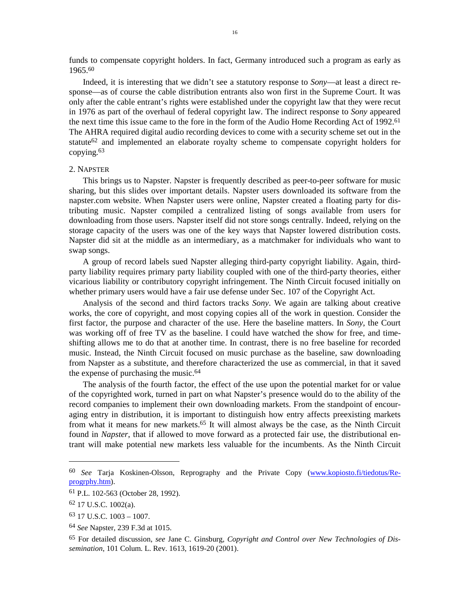funds to compensate copyright holders. In fact, Germany introduced such a program as early as 1965.60

Indeed, it is interesting that we didn't see a statutory response to *Sony*—at least a direct response—as of course the cable distribution entrants also won first in the Supreme Court. It was only after the cable entrant's rights were established under the copyright law that they were recut in 1976 as part of the overhaul of federal copyright law. The indirect response to *Sony* appeared the next time this issue came to the fore in the form of the Audio Home Recording Act of 1992.<sup>61</sup> The AHRA required digital audio recording devices to come with a security scheme set out in the statute<sup>62</sup> and implemented an elaborate royalty scheme to compensate copyright holders for copying.63

#### 2. NAPSTER

This brings us to Napster. Napster is frequently described as peer-to-peer software for music sharing, but this slides over important details. Napster users downloaded its software from the napster.com website. When Napster users were online, Napster created a floating party for distributing music. Napster compiled a centralized listing of songs available from users for downloading from those users. Napster itself did not store songs centrally. Indeed, relying on the storage capacity of the users was one of the key ways that Napster lowered distribution costs. Napster did sit at the middle as an intermediary, as a matchmaker for individuals who want to swap songs.

A group of record labels sued Napster alleging third-party copyright liability. Again, thirdparty liability requires primary party liability coupled with one of the third-party theories, either vicarious liability or contributory copyright infringement. The Ninth Circuit focused initially on whether primary users would have a fair use defense under Sec. 107 of the Copyright Act.

Analysis of the second and third factors tracks *Sony*. We again are talking about creative works, the core of copyright, and most copying copies all of the work in question. Consider the first factor, the purpose and character of the use. Here the baseline matters. In *Sony*, the Court was working off of free TV as the baseline. I could have watched the show for free, and timeshifting allows me to do that at another time. In contrast, there is no free baseline for recorded music. Instead, the Ninth Circuit focused on music purchase as the baseline, saw downloading from Napster as a substitute, and therefore characterized the use as commercial, in that it saved the expense of purchasing the music.64

The analysis of the fourth factor, the effect of the use upon the potential market for or value of the copyrighted work, turned in part on what Napster's presence would do to the ability of the record companies to implement their own downloading markets. From the standpoint of encouraging entry in distribution, it is important to distinguish how entry affects preexisting markets from what it means for new markets.65 It will almost always be the case, as the Ninth Circuit found in *Napster*, that if allowed to move forward as a protected fair use, the distributional entrant will make potential new markets less valuable for the incumbents. As the Ninth Circuit

1

<sup>60</sup> *See* Tarja Koskinen-Olsson, Reprography and the Private Copy (www.kopiosto.fi/tiedotus/Reprogrphy.htm).

<sup>61</sup> P.L. 102-563 (October 28, 1992).

<sup>62 17</sup> U.S.C. 1002(a).

<sup>63 17</sup> U.S.C. 1003 – 1007.

<sup>64</sup> *See* Napster, 239 F.3d at 1015.

<sup>65</sup> For detailed discussion, *see* Jane C. Ginsburg, *Copyright and Control over New Technologies of Dissemination*, 101 Colum. L. Rev. 1613, 1619-20 (2001).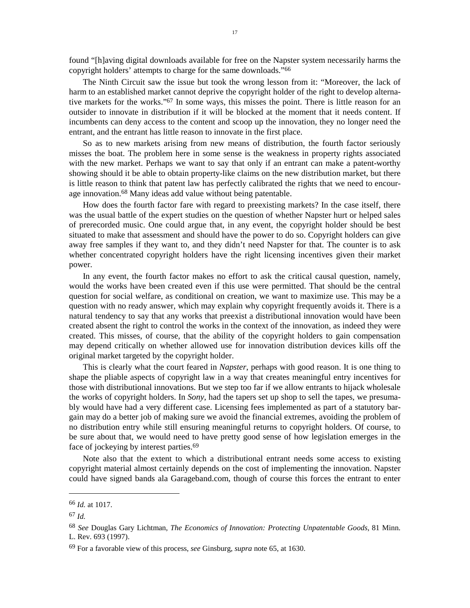found "[h]aving digital downloads available for free on the Napster system necessarily harms the copyright holders' attempts to charge for the same downloads."66

The Ninth Circuit saw the issue but took the wrong lesson from it: "Moreover, the lack of harm to an established market cannot deprive the copyright holder of the right to develop alternative markets for the works."67 In some ways, this misses the point. There is little reason for an outsider to innovate in distribution if it will be blocked at the moment that it needs content. If incumbents can deny access to the content and scoop up the innovation, they no longer need the entrant, and the entrant has little reason to innovate in the first place.

So as to new markets arising from new means of distribution, the fourth factor seriously misses the boat. The problem here in some sense is the weakness in property rights associated with the new market. Perhaps we want to say that only if an entrant can make a patent-worthy showing should it be able to obtain property-like claims on the new distribution market, but there is little reason to think that patent law has perfectly calibrated the rights that we need to encourage innovation.68 Many ideas add value without being patentable.

How does the fourth factor fare with regard to preexisting markets? In the case itself, there was the usual battle of the expert studies on the question of whether Napster hurt or helped sales of prerecorded music. One could argue that, in any event, the copyright holder should be best situated to make that assessment and should have the power to do so. Copyright holders can give away free samples if they want to, and they didn't need Napster for that. The counter is to ask whether concentrated copyright holders have the right licensing incentives given their market power.

In any event, the fourth factor makes no effort to ask the critical causal question, namely, would the works have been created even if this use were permitted. That should be the central question for social welfare, as conditional on creation, we want to maximize use. This may be a question with no ready answer, which may explain why copyright frequently avoids it. There is a natural tendency to say that any works that preexist a distributional innovation would have been created absent the right to control the works in the context of the innovation, as indeed they were created. This misses, of course, that the ability of the copyright holders to gain compensation may depend critically on whether allowed use for innovation distribution devices kills off the original market targeted by the copyright holder.

This is clearly what the court feared in *Napster*, perhaps with good reason. It is one thing to shape the pliable aspects of copyright law in a way that creates meaningful entry incentives for those with distributional innovations. But we step too far if we allow entrants to hijack wholesale the works of copyright holders. In *Sony*, had the tapers set up shop to sell the tapes, we presumably would have had a very different case. Licensing fees implemented as part of a statutory bargain may do a better job of making sure we avoid the financial extremes, avoiding the problem of no distribution entry while still ensuring meaningful returns to copyright holders. Of course, to be sure about that, we would need to have pretty good sense of how legislation emerges in the face of jockeying by interest parties.<sup>69</sup>

Note also that the extent to which a distributional entrant needs some access to existing copyright material almost certainly depends on the cost of implementing the innovation. Napster could have signed bands ala Garageband.com, though of course this forces the entrant to enter

-

<sup>66</sup> *Id.* at 1017.

<sup>67</sup> *Id.*

<sup>68</sup> *See* Douglas Gary Lichtman, *The Economics of Innovation: Protecting Unpatentable Goods*, 81 Minn. L. Rev. 693 (1997).

<sup>69</sup> For a favorable view of this process, *see* Ginsburg, *supra* note 65, at 1630.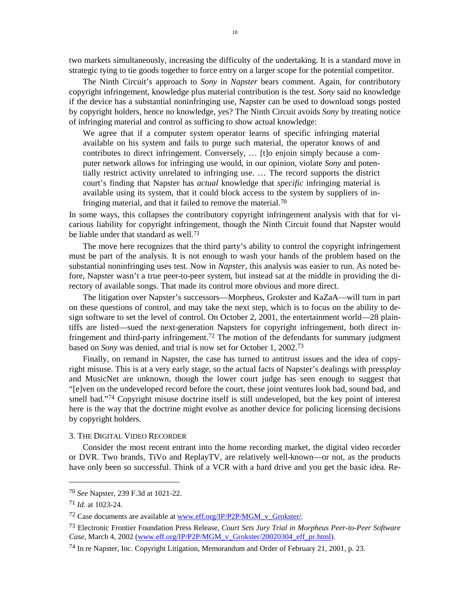two markets simultaneously, increasing the difficulty of the undertaking. It is a standard move in strategic tying to tie goods together to force entry on a larger scope for the potential competitor.

The Ninth Circuit's approach to *Sony* in *Napster* bears comment. Again, for contributory copyright infringement, knowledge plus material contribution is the test. *Sony* said no knowledge if the device has a substantial noninfringing use, Napster can be used to download songs posted by copyright holders, hence no knowledge, yes? The Ninth Circuit avoids *Sony* by treating notice of infringing material and control as sufficing to show actual knowledge:

We agree that if a computer system operator learns of specific infringing material available on his system and fails to purge such material, the operator knows of and contributes to direct infringement. Conversely, … [t]o enjoin simply because a computer network allows for infringing use would, in our opinion, violate *Sony* and potentially restrict activity unrelated to infringing use. … The record supports the district court's finding that Napster has *actual* knowledge that *specific* infringing material is available using its system, that it could block access to the system by suppliers of infringing material, and that it failed to remove the material.70

In some ways, this collapses the contributory copyright infringement analysis with that for vicarious liability for copyright infringement, though the Ninth Circuit found that Napster would be liable under that standard as well.<sup>71</sup>

The move here recognizes that the third party's ability to control the copyright infringement must be part of the analysis. It is not enough to wash your hands of the problem based on the substantial noninfringing uses test. Now in *Napster*, this analysis was easier to run. As noted before, Napster wasn't a true peer-to-peer system, but instead sat at the middle in providing the directory of available songs. That made its control more obvious and more direct.

The litigation over Napster's successors—Morpheus, Grokster and KaZaA—will turn in part on these questions of control, and may take the next step, which is to focus on the ability to design software to set the level of control. On October 2, 2001, the entertainment world—28 plaintiffs are listed—sued the next-generation Napsters for copyright infringement, both direct infringement and third-party infringement.<sup>72</sup> The motion of the defendants for summary judgment based on *Sony* was denied, and trial is now set for October 1, 2002.73

Finally, on remand in Napster, the case has turned to antitrust issues and the idea of copyright misuse. This is at a very early stage, so the actual facts of Napster's dealings with press*play* and MusicNet are unknown, though the lower court judge has seen enough to suggest that "[e]ven on the undeveloped record before the court, these joint ventures look bad, sound bad, and smell bad."74 Copyright misuse doctrine itself is still undeveloped, but the key point of interest here is the way that the doctrine might evolve as another device for policing licensing decisions by copyright holders.

#### 3. THE DIGITAL VIDEO RECORDER

Consider the most recent entrant into the home recording market, the digital video recorder or DVR. Two brands, TiVo and ReplayTV, are relatively well-known—or not, as the products have only been so successful. Think of a VCR with a hard drive and you get the basic idea. Re-

-

<sup>70</sup> *See* Napster, 239 F.3d at 1021-22.

<sup>71</sup> *Id.* at 1023-24.

<sup>72</sup> Case documents are available at www.eff.org/IP/P2P/MGM\_v\_Grokster/.

<sup>73</sup> Electronic Frontier Foundation Press Release, *Court Sets Jury Trial in Morpheus Peer-to-Peer Software Case*, March 4, 2002 (www.eff.org/IP/P2P/MGM\_v\_Grokster/20020304\_eff\_pr.html).

 $^{74}$  In re Napster, Inc. Copyright Litigation, Memorandum and Order of February 21, 2001, p. 23.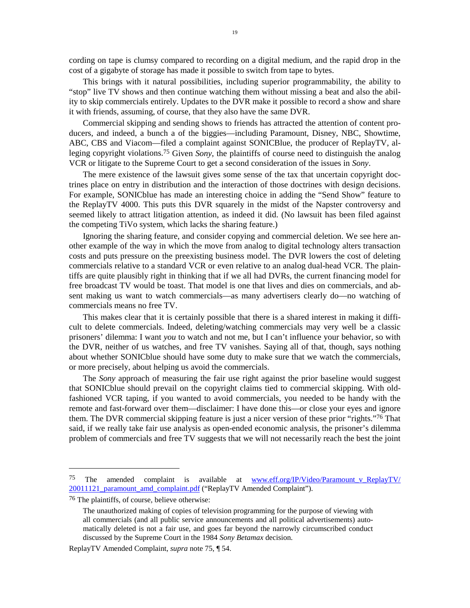cording on tape is clumsy compared to recording on a digital medium, and the rapid drop in the cost of a gigabyte of storage has made it possible to switch from tape to bytes.

This brings with it natural possibilities, including superior programmability, the ability to "stop" live TV shows and then continue watching them without missing a beat and also the ability to skip commercials entirely. Updates to the DVR make it possible to record a show and share it with friends, assuming, of course, that they also have the same DVR.

Commercial skipping and sending shows to friends has attracted the attention of content producers, and indeed, a bunch a of the biggies—including Paramount, Disney, NBC, Showtime, ABC, CBS and Viacom—filed a complaint against SONICBlue, the producer of ReplayTV, alleging copyright violations.75 Given *Sony*, the plaintiffs of course need to distinguish the analog VCR or litigate to the Supreme Court to get a second consideration of the issues in *Sony*.

The mere existence of the lawsuit gives some sense of the tax that uncertain copyright doctrines place on entry in distribution and the interaction of those doctrines with design decisions. For example, SONICblue has made an interesting choice in adding the "Send Show" feature to the ReplayTV 4000. This puts this DVR squarely in the midst of the Napster controversy and seemed likely to attract litigation attention, as indeed it did. (No lawsuit has been filed against the competing TiVo system, which lacks the sharing feature.)

Ignoring the sharing feature, and consider copying and commercial deletion. We see here another example of the way in which the move from analog to digital technology alters transaction costs and puts pressure on the preexisting business model. The DVR lowers the cost of deleting commercials relative to a standard VCR or even relative to an analog dual-head VCR. The plaintiffs are quite plausibly right in thinking that if we all had DVRs, the current financing model for free broadcast TV would be toast. That model is one that lives and dies on commercials, and absent making us want to watch commercials—as many advertisers clearly do—no watching of commercials means no free TV.

This makes clear that it is certainly possible that there is a shared interest in making it difficult to delete commercials. Indeed, deleting/watching commercials may very well be a classic prisoners' dilemma: I want *you* to watch and not me, but I can't influence your behavior, so with the DVR, neither of us watches, and free TV vanishes. Saying all of that, though, says nothing about whether SONICblue should have some duty to make sure that we watch the commercials, or more precisely, about helping us avoid the commercials.

The *Sony* approach of measuring the fair use right against the prior baseline would suggest that SONICblue should prevail on the copyright claims tied to commercial skipping. With oldfashioned VCR taping, if you wanted to avoid commercials, you needed to be handy with the remote and fast-forward over them—disclaimer: I have done this—or close your eyes and ignore them. The DVR commercial skipping feature is just a nicer version of these prior "rights."76 That said, if we really take fair use analysis as open-ended economic analysis, the prisoner's dilemma problem of commercials and free TV suggests that we will not necessarily reach the best the joint

<sup>&</sup>lt;sup>75</sup> The amended complaint is available at www.eff.org/IP/Video/Paramount v ReplayTV/ 20011121\_paramount\_amd\_complaint.pdf ("ReplayTV Amended Complaint").

<sup>76</sup> The plaintiffs, of course, believe otherwise:

The unauthorized making of copies of television programming for the purpose of viewing with all commercials (and all public service announcements and all political advertisements) automatically deleted is not a fair use, and goes far beyond the narrowly circumscribed conduct discussed by the Supreme Court in the 1984 *Sony Betamax* decision.

ReplayTV Amended Complaint, *supra* note 75, ¶ 54.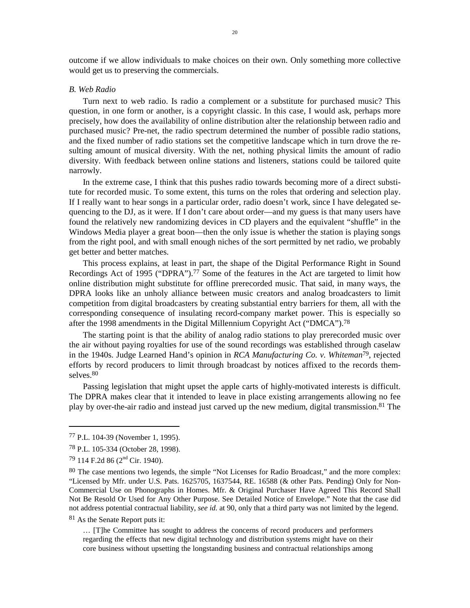outcome if we allow individuals to make choices on their own. Only something more collective would get us to preserving the commercials.

#### *B. Web Radio*

Turn next to web radio. Is radio a complement or a substitute for purchased music? This question, in one form or another, is a copyright classic. In this case, I would ask, perhaps more precisely, how does the availability of online distribution alter the relationship between radio and purchased music? Pre-net, the radio spectrum determined the number of possible radio stations, and the fixed number of radio stations set the competitive landscape which in turn drove the resulting amount of musical diversity. With the net, nothing physical limits the amount of radio diversity. With feedback between online stations and listeners, stations could be tailored quite narrowly.

In the extreme case, I think that this pushes radio towards becoming more of a direct substitute for recorded music. To some extent, this turns on the roles that ordering and selection play. If I really want to hear songs in a particular order, radio doesn't work, since I have delegated sequencing to the DJ, as it were. If I don't care about order—and my guess is that many users have found the relatively new randomizing devices in CD players and the equivalent "shuffle" in the Windows Media player a great boon—then the only issue is whether the station is playing songs from the right pool, and with small enough niches of the sort permitted by net radio, we probably get better and better matches.

This process explains, at least in part, the shape of the Digital Performance Right in Sound Recordings Act of 1995 ("DPRA").77 Some of the features in the Act are targeted to limit how online distribution might substitute for offline prerecorded music. That said, in many ways, the DPRA looks like an unholy alliance between music creators and analog broadcasters to limit competition from digital broadcasters by creating substantial entry barriers for them, all with the corresponding consequence of insulating record-company market power. This is especially so after the 1998 amendments in the Digital Millennium Copyright Act ("DMCA").78

The starting point is that the ability of analog radio stations to play prerecorded music over the air without paying royalties for use of the sound recordings was established through caselaw in the 1940s. Judge Learned Hand's opinion in *RCA Manufacturing Co. v. Whiteman*79, rejected efforts by record producers to limit through broadcast by notices affixed to the records themselves.80

Passing legislation that might upset the apple carts of highly-motivated interests is difficult. The DPRA makes clear that it intended to leave in place existing arrangements allowing no fee play by over-the-air radio and instead just carved up the new medium, digital transmission.81 The

l

81 As the Senate Report puts it:

… [T]he Committee has sought to address the concerns of record producers and performers regarding the effects that new digital technology and distribution systems might have on their core business without upsetting the longstanding business and contractual relationships among

<sup>77</sup> P.L. 104-39 (November 1, 1995).

<sup>78</sup> P.L. 105-334 (October 28, 1998).

 $79$  114 F.2d 86 ( $2<sup>nd</sup>$  Cir. 1940).

<sup>&</sup>lt;sup>80</sup> The case mentions two legends, the simple "Not Licenses for Radio Broadcast," and the more complex: "Licensed by Mfr. under U.S. Pats. 1625705, 1637544, RE. 16588 (& other Pats. Pending) Only for Non-Commercial Use on Phonographs in Homes. Mfr. & Original Purchaser Have Agreed This Record Shall Not Be Resold Or Used for Any Other Purpose. See Detailed Notice of Envelope." Note that the case did not address potential contractual liability, *see id.* at 90, only that a third party was not limited by the legend.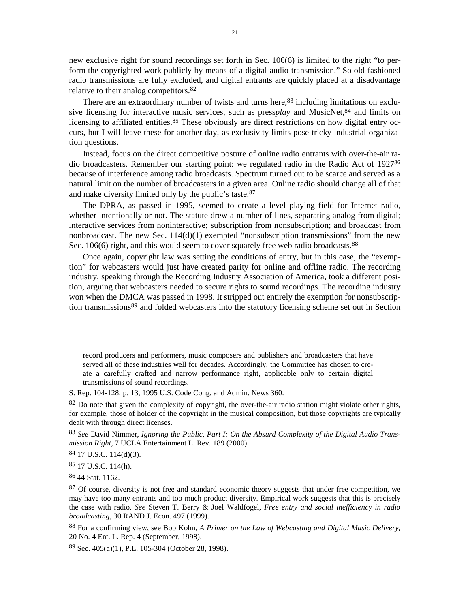new exclusive right for sound recordings set forth in Sec. 106(6) is limited to the right "to perform the copyrighted work publicly by means of a digital audio transmission." So old-fashioned radio transmissions are fully excluded, and digital entrants are quickly placed at a disadvantage relative to their analog competitors.82

There are an extraordinary number of twists and turns here,  $83$  including limitations on exclusive licensing for interactive music services, such as press*play* and MusicNet,<sup>84</sup> and limits on licensing to affiliated entities.<sup>85</sup> These obviously are direct restrictions on how digital entry occurs, but I will leave these for another day, as exclusivity limits pose tricky industrial organization questions.

Instead, focus on the direct competitive posture of online radio entrants with over-the-air radio broadcasters. Remember our starting point: we regulated radio in the Radio Act of 192786 because of interference among radio broadcasts. Spectrum turned out to be scarce and served as a natural limit on the number of broadcasters in a given area. Online radio should change all of that and make diversity limited only by the public's taste.87

The DPRA, as passed in 1995, seemed to create a level playing field for Internet radio, whether intentionally or not. The statute drew a number of lines, separating analog from digital; interactive services from noninteractive; subscription from nonsubscription; and broadcast from nonbroadcast. The new Sec. 114(d)(1) exempted "nonsubscription transmissions" from the new Sec. 106(6) right, and this would seem to cover squarely free web radio broadcasts.<sup>88</sup>

Once again, copyright law was setting the conditions of entry, but in this case, the "exemption" for webcasters would just have created parity for online and offline radio. The recording industry, speaking through the Recording Industry Association of America, took a different position, arguing that webcasters needed to secure rights to sound recordings. The recording industry won when the DMCA was passed in 1998. It stripped out entirely the exemption for nonsubscription transmissions89 and folded webcasters into the statutory licensing scheme set out in Section

record producers and performers, music composers and publishers and broadcasters that have served all of these industries well for decades. Accordingly, the Committee has chosen to create a carefully crafted and narrow performance right, applicable only to certain digital transmissions of sound recordings.

S. Rep. 104-128, p. 13, 1995 U.S. Code Cong. and Admin. News 360.

<sup>82</sup> Do note that given the complexity of copyright, the over-the-air radio station might violate other rights, for example, those of holder of the copyright in the musical composition, but those copyrights are typically dealt with through direct licenses.

83 *See* David Nimmer, *Ignoring the Public, Part I: On the Absurd Complexity of the Digital Audio Transmission Right*, 7 UCLA Entertainment L. Rev. 189 (2000).

84 17 U.S.C. 114(d)(3).

85 17 U.S.C. 114(h).

86 44 Stat. 1162.

l

<sup>87</sup> Of course, diversity is not free and standard economic theory suggests that under free competition, we may have too many entrants and too much product diversity. Empirical work suggests that this is precisely the case with radio. *See* Steven T. Berry & Joel Waldfogel, *Free entry and social inefficiency in radio broadcasting*, 30 RAND J. Econ. 497 (1999).

88 For a confirming view, see Bob Kohn, *A Primer on the Law of Webcasting and Digital Music Delivery*, 20 No. 4 Ent. L. Rep. 4 (September, 1998).

89 Sec. 405(a)(1), P.L. 105-304 (October 28, 1998).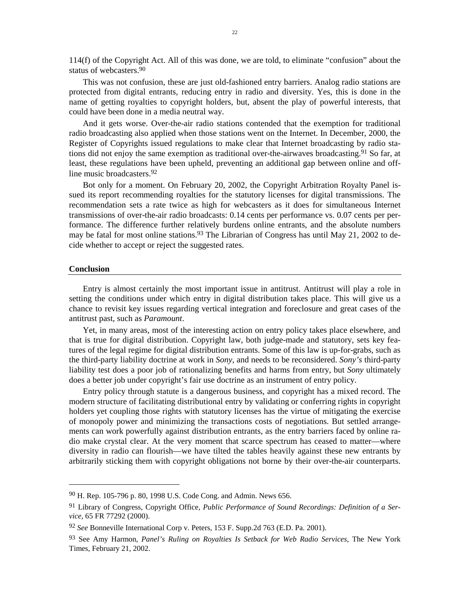114(f) of the Copyright Act. All of this was done, we are told, to eliminate "confusion" about the status of webcasters.90

This was not confusion, these are just old-fashioned entry barriers. Analog radio stations are protected from digital entrants, reducing entry in radio and diversity. Yes, this is done in the name of getting royalties to copyright holders, but, absent the play of powerful interests, that could have been done in a media neutral way.

And it gets worse. Over-the-air radio stations contended that the exemption for traditional radio broadcasting also applied when those stations went on the Internet. In December, 2000, the Register of Copyrights issued regulations to make clear that Internet broadcasting by radio stations did not enjoy the same exemption as traditional over-the-airwaves broadcasting.<sup>91</sup> So far, at least, these regulations have been upheld, preventing an additional gap between online and offline music broadcasters.92

Bot only for a moment. On February 20, 2002, the Copyright Arbitration Royalty Panel issued its report recommending royalties for the statutory licenses for digital transmissions. The recommendation sets a rate twice as high for webcasters as it does for simultaneous Internet transmissions of over-the-air radio broadcasts: 0.14 cents per performance vs. 0.07 cents per performance. The difference further relatively burdens online entrants, and the absolute numbers may be fatal for most online stations.<sup>93</sup> The Librarian of Congress has until May 21, 2002 to decide whether to accept or reject the suggested rates.

#### **Conclusion**

l

Entry is almost certainly the most important issue in antitrust. Antitrust will play a role in setting the conditions under which entry in digital distribution takes place. This will give us a chance to revisit key issues regarding vertical integration and foreclosure and great cases of the antitrust past, such as *Paramount*.

Yet, in many areas, most of the interesting action on entry policy takes place elsewhere, and that is true for digital distribution. Copyright law, both judge-made and statutory, sets key features of the legal regime for digital distribution entrants. Some of this law is up-for-grabs, such as the third-party liability doctrine at work in *Sony*, and needs to be reconsidered. *Sony's* third-party liability test does a poor job of rationalizing benefits and harms from entry, but *Sony* ultimately does a better job under copyright's fair use doctrine as an instrument of entry policy.

Entry policy through statute is a dangerous business, and copyright has a mixed record. The modern structure of facilitating distributional entry by validating or conferring rights in copyright holders yet coupling those rights with statutory licenses has the virtue of mitigating the exercise of monopoly power and minimizing the transactions costs of negotiations. But settled arrangements can work powerfully against distribution entrants, as the entry barriers faced by online radio make crystal clear. At the very moment that scarce spectrum has ceased to matter—where diversity in radio can flourish—we have tilted the tables heavily against these new entrants by arbitrarily sticking them with copyright obligations not borne by their over-the-air counterparts.

<sup>90</sup> H. Rep. 105-796 p. 80, 1998 U.S. Code Cong. and Admin. News 656.

<sup>91</sup> Library of Congress, Copyright Office, *Public Performance of Sound Recordings: Definition of a Service*, 65 FR 77292 (2000).

<sup>92</sup> *See* Bonneville International Corp v. Peters, 153 F. Supp.2d 763 (E.D. Pa. 2001).

<sup>93</sup> See Amy Harmon, *Panel's Ruling on Royalties Is Setback for Web Radio Services*, The New York Times, February 21, 2002.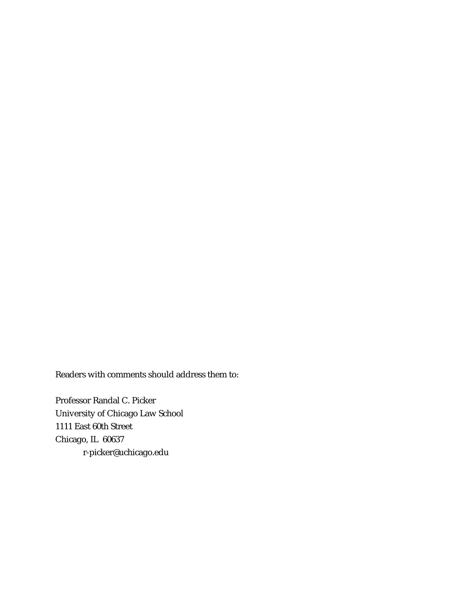Readers with comments should address them to:

Professor Randal C. Picker University of Chicago Law School 1111 East 60th Street Chicago, IL 60637 r-picker@uchicago.edu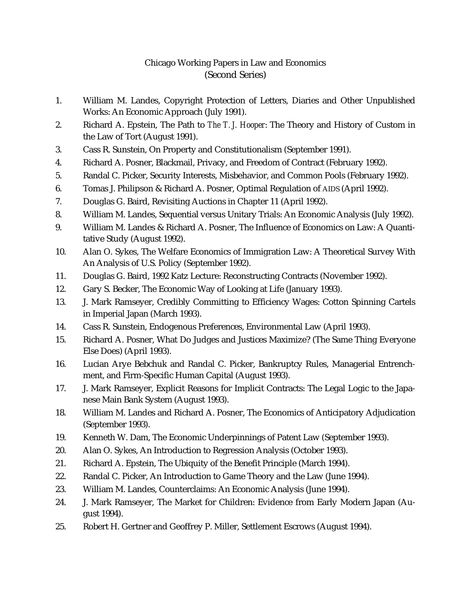## Chicago Working Papers in Law and Economics (Second Series)

- 1. William M. Landes, Copyright Protection of Letters, Diaries and Other Unpublished Works: An Economic Approach (July 1991).
- 2. Richard A. Epstein, The Path to *The T. J. Hooper*: The Theory and History of Custom in the Law of Tort (August 1991).
- 3. Cass R. Sunstein, On Property and Constitutionalism (September 1991).
- 4. Richard A. Posner, Blackmail, Privacy, and Freedom of Contract (February 1992).
- 5. Randal C. Picker, Security Interests, Misbehavior, and Common Pools (February 1992).
- 6. Tomas J. Philipson & Richard A. Posner, Optimal Regulation of AIDS (April 1992).
- 7. Douglas G. Baird, Revisiting Auctions in Chapter 11 (April 1992).
- 8. William M. Landes, Sequential versus Unitary Trials: An Economic Analysis (July 1992).
- 9. William M. Landes & Richard A. Posner, The Influence of Economics on Law: A Quantitative Study (August 1992).
- 10. Alan O. Sykes, The Welfare Economics of Immigration Law: A Theoretical Survey With An Analysis of U.S. Policy (September 1992).
- 11. Douglas G. Baird, 1992 Katz Lecture: Reconstructing Contracts (November 1992).
- 12. Gary S. Becker, The Economic Way of Looking at Life (January 1993).
- 13. J. Mark Ramseyer, Credibly Committing to Efficiency Wages: Cotton Spinning Cartels in Imperial Japan (March 1993).
- 14. Cass R. Sunstein, Endogenous Preferences, Environmental Law (April 1993).
- 15. Richard A. Posner, What Do Judges and Justices Maximize? (The Same Thing Everyone Else Does) (April 1993).
- 16. Lucian Arye Bebchuk and Randal C. Picker, Bankruptcy Rules, Managerial Entrenchment, and Firm-Specific Human Capital (August 1993).
- 17. J. Mark Ramseyer, Explicit Reasons for Implicit Contracts: The Legal Logic to the Japanese Main Bank System (August 1993).
- 18. William M. Landes and Richard A. Posner, The Economics of Anticipatory Adjudication (September 1993).
- 19. Kenneth W. Dam, The Economic Underpinnings of Patent Law (September 1993).
- 20. Alan O. Sykes, An Introduction to Regression Analysis (October 1993).
- 21. Richard A. Epstein, The Ubiquity of the Benefit Principle (March 1994).
- 22. Randal C. Picker, An Introduction to Game Theory and the Law (June 1994).
- 23. William M. Landes, Counterclaims: An Economic Analysis (June 1994).
- 24. J. Mark Ramseyer, The Market for Children: Evidence from Early Modern Japan (August 1994).
- 25. Robert H. Gertner and Geoffrey P. Miller, Settlement Escrows (August 1994).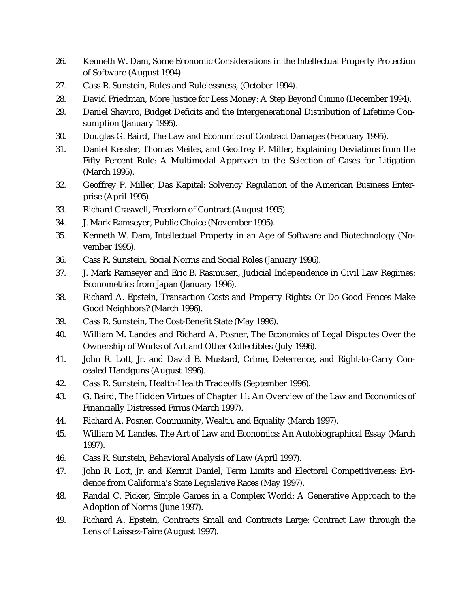- 26. Kenneth W. Dam, Some Economic Considerations in the Intellectual Property Protection of Software (August 1994).
- 27. Cass R. Sunstein, Rules and Rulelessness, (October 1994).
- 28. David Friedman, More Justice for Less Money: A Step Beyond *Cimino* (December 1994).
- 29. Daniel Shaviro, Budget Deficits and the Intergenerational Distribution of Lifetime Consumption (January 1995).
- 30. Douglas G. Baird, The Law and Economics of Contract Damages (February 1995).
- 31. Daniel Kessler, Thomas Meites, and Geoffrey P. Miller, Explaining Deviations from the Fifty Percent Rule: A Multimodal Approach to the Selection of Cases for Litigation (March 1995).
- 32. Geoffrey P. Miller, Das Kapital: Solvency Regulation of the American Business Enterprise (April 1995).
- 33. Richard Craswell, Freedom of Contract (August 1995).
- 34. J. Mark Ramseyer, Public Choice (November 1995).
- 35. Kenneth W. Dam, Intellectual Property in an Age of Software and Biotechnology (November 1995).
- 36. Cass R. Sunstein, Social Norms and Social Roles (January 1996).
- 37. J. Mark Ramseyer and Eric B. Rasmusen, Judicial Independence in Civil Law Regimes: Econometrics from Japan (January 1996).
- 38. Richard A. Epstein, Transaction Costs and Property Rights: Or Do Good Fences Make Good Neighbors? (March 1996).
- 39. Cass R. Sunstein, The Cost-Benefit State (May 1996).
- 40. William M. Landes and Richard A. Posner, The Economics of Legal Disputes Over the Ownership of Works of Art and Other Collectibles (July 1996).
- 41. John R. Lott, Jr. and David B. Mustard, Crime, Deterrence, and Right-to-Carry Concealed Handguns (August 1996).
- 42. Cass R. Sunstein, Health-Health Tradeoffs (September 1996).
- 43. G. Baird, The Hidden Virtues of Chapter 11: An Overview of the Law and Economics of Financially Distressed Firms (March 1997).
- 44. Richard A. Posner, Community, Wealth, and Equality (March 1997).
- 45. William M. Landes, The Art of Law and Economics: An Autobiographical Essay (March 1997).
- 46. Cass R. Sunstein, Behavioral Analysis of Law (April 1997).
- 47. John R. Lott, Jr. and Kermit Daniel, Term Limits and Electoral Competitiveness: Evidence from California's State Legislative Races (May 1997).
- 48. Randal C. Picker, Simple Games in a Complex World: A Generative Approach to the Adoption of Norms (June 1997).
- 49. Richard A. Epstein, Contracts Small and Contracts Large: Contract Law through the Lens of Laissez-Faire (August 1997).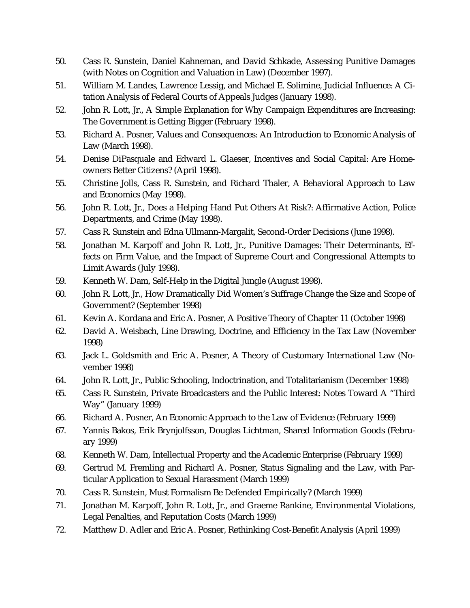- 50. Cass R. Sunstein, Daniel Kahneman, and David Schkade, Assessing Punitive Damages (with Notes on Cognition and Valuation in Law) (December 1997).
- 51. William M. Landes, Lawrence Lessig, and Michael E. Solimine, Judicial Influence: A Citation Analysis of Federal Courts of Appeals Judges (January 1998).
- 52. John R. Lott, Jr., A Simple Explanation for Why Campaign Expenditures are Increasing: The Government is Getting Bigger (February 1998).
- 53. Richard A. Posner, Values and Consequences: An Introduction to Economic Analysis of Law (March 1998).
- 54. Denise DiPasquale and Edward L. Glaeser, Incentives and Social Capital: Are Homeowners Better Citizens? (April 1998).
- 55. Christine Jolls, Cass R. Sunstein, and Richard Thaler, A Behavioral Approach to Law and Economics (May 1998).
- 56. John R. Lott, Jr., Does a Helping Hand Put Others At Risk?: Affirmative Action, Police Departments, and Crime (May 1998).
- 57. Cass R. Sunstein and Edna Ullmann-Margalit, Second-Order Decisions (June 1998).
- 58. Jonathan M. Karpoff and John R. Lott, Jr., Punitive Damages: Their Determinants, Effects on Firm Value, and the Impact of Supreme Court and Congressional Attempts to Limit Awards (July 1998).
- 59. Kenneth W. Dam, Self-Help in the Digital Jungle (August 1998).
- 60. John R. Lott, Jr., How Dramatically Did Women's Suffrage Change the Size and Scope of Government? (September 1998)
- 61. Kevin A. Kordana and Eric A. Posner, A Positive Theory of Chapter 11 (October 1998)
- 62. David A. Weisbach, Line Drawing, Doctrine, and Efficiency in the Tax Law (November 1998)
- 63. Jack L. Goldsmith and Eric A. Posner, A Theory of Customary International Law (November 1998)
- 64. John R. Lott, Jr., Public Schooling, Indoctrination, and Totalitarianism (December 1998)
- 65. Cass R. Sunstein, Private Broadcasters and the Public Interest: Notes Toward A "Third Way" (January 1999)
- 66. Richard A. Posner, An Economic Approach to the Law of Evidence (February 1999)
- 67. Yannis Bakos, Erik Brynjolfsson, Douglas Lichtman, Shared Information Goods (February 1999)
- 68. Kenneth W. Dam, Intellectual Property and the Academic Enterprise (February 1999)
- 69. Gertrud M. Fremling and Richard A. Posner, Status Signaling and the Law, with Particular Application to Sexual Harassment (March 1999)
- 70. Cass R. Sunstein, Must Formalism Be Defended Empirically? (March 1999)
- 71. Jonathan M. Karpoff, John R. Lott, Jr., and Graeme Rankine, Environmental Violations, Legal Penalties, and Reputation Costs (March 1999)
- 72. Matthew D. Adler and Eric A. Posner, Rethinking Cost-Benefit Analysis (April 1999)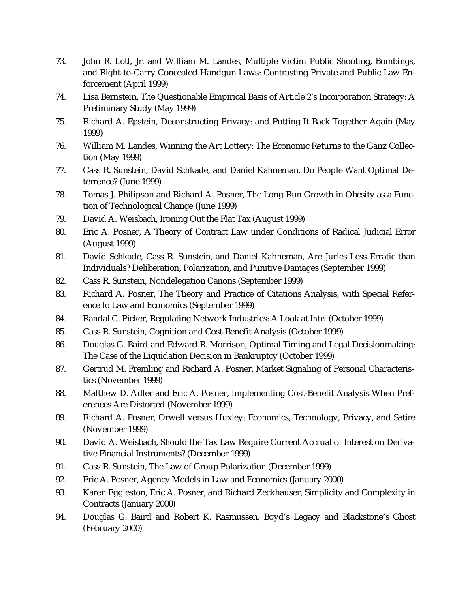- 73. John R. Lott, Jr. and William M. Landes, Multiple Victim Public Shooting, Bombings, and Right-to-Carry Concealed Handgun Laws: Contrasting Private and Public Law Enforcement (April 1999)
- 74. Lisa Bernstein, The Questionable Empirical Basis of Article 2's Incorporation Strategy: A Preliminary Study (May 1999)
- 75. Richard A. Epstein, Deconstructing Privacy: and Putting It Back Together Again (May 1999)
- 76. William M. Landes, Winning the Art Lottery: The Economic Returns to the Ganz Collection (May 1999)
- 77. Cass R. Sunstein, David Schkade, and Daniel Kahneman, Do People Want Optimal Deterrence? (June 1999)
- 78. Tomas J. Philipson and Richard A. Posner, The Long-Run Growth in Obesity as a Function of Technological Change (June 1999)
- 79. David A. Weisbach, Ironing Out the Flat Tax (August 1999)
- 80. Eric A. Posner, A Theory of Contract Law under Conditions of Radical Judicial Error (August 1999)
- 81. David Schkade, Cass R. Sunstein, and Daniel Kahneman, Are Juries Less Erratic than Individuals? Deliberation, Polarization, and Punitive Damages (September 1999)
- 82. Cass R. Sunstein, Nondelegation Canons (September 1999)
- 83. Richard A. Posner, The Theory and Practice of Citations Analysis, with Special Reference to Law and Economics (September 1999)
- 84. Randal C. Picker, Regulating Network Industries: A Look at *Intel* (October 1999)
- 85. Cass R. Sunstein, Cognition and Cost-Benefit Analysis (October 1999)
- 86. Douglas G. Baird and Edward R. Morrison, Optimal Timing and Legal Decisionmaking: The Case of the Liquidation Decision in Bankruptcy (October 1999)
- 87. Gertrud M. Fremling and Richard A. Posner, Market Signaling of Personal Characteristics (November 1999)
- 88. Matthew D. Adler and Eric A. Posner, Implementing Cost-Benefit Analysis When Preferences Are Distorted (November 1999)
- 89. Richard A. Posner, Orwell versus Huxley: Economics, Technology, Privacy, and Satire (November 1999)
- 90. David A. Weisbach, Should the Tax Law Require Current Accrual of Interest on Derivative Financial Instruments? (December 1999)
- 91. Cass R. Sunstein, The Law of Group Polarization (December 1999)
- 92. Eric A. Posner, Agency Models in Law and Economics (January 2000)
- 93. Karen Eggleston, Eric A. Posner, and Richard Zeckhauser, Simplicity and Complexity in Contracts (January 2000)
- 94. Douglas G. Baird and Robert K. Rasmussen, Boyd's Legacy and Blackstone's Ghost (February 2000)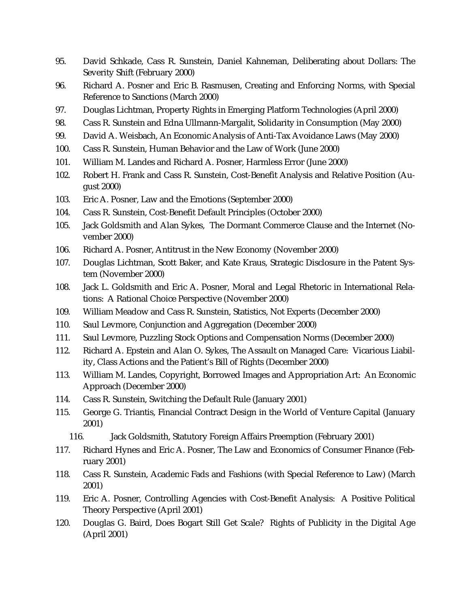- 95. David Schkade, Cass R. Sunstein, Daniel Kahneman, Deliberating about Dollars: The Severity Shift (February 2000)
- 96. Richard A. Posner and Eric B. Rasmusen, Creating and Enforcing Norms, with Special Reference to Sanctions (March 2000)
- 97. Douglas Lichtman, Property Rights in Emerging Platform Technologies (April 2000)
- 98. Cass R. Sunstein and Edna Ullmann-Margalit, Solidarity in Consumption (May 2000)
- 99. David A. Weisbach, An Economic Analysis of Anti-Tax Avoidance Laws (May 2000)
- 100. Cass R. Sunstein, Human Behavior and the Law of Work (June 2000)
- 101. William M. Landes and Richard A. Posner, Harmless Error (June 2000)
- 102. Robert H. Frank and Cass R. Sunstein, Cost-Benefit Analysis and Relative Position (August 2000)
- 103. Eric A. Posner, Law and the Emotions (September 2000)
- 104. Cass R. Sunstein, Cost-Benefit Default Principles (October 2000)
- 105. Jack Goldsmith and Alan Sykes, The Dormant Commerce Clause and the Internet (November 2000)
- 106. Richard A. Posner, Antitrust in the New Economy (November 2000)
- 107. Douglas Lichtman, Scott Baker, and Kate Kraus, Strategic Disclosure in the Patent System (November 2000)
- 108. Jack L. Goldsmith and Eric A. Posner, Moral and Legal Rhetoric in International Relations: A Rational Choice Perspective (November 2000)
- 109. William Meadow and Cass R. Sunstein, Statistics, Not Experts (December 2000)
- 110. Saul Levmore, Conjunction and Aggregation (December 2000)
- 111. Saul Levmore, Puzzling Stock Options and Compensation Norms (December 2000)
- 112. Richard A. Epstein and Alan O. Sykes, The Assault on Managed Care: Vicarious Liability, Class Actions and the Patient's Bill of Rights (December 2000)
- 113. William M. Landes, Copyright, Borrowed Images and Appropriation Art: An Economic Approach (December 2000)
- 114. Cass R. Sunstein, Switching the Default Rule (January 2001)
- 115. George G. Triantis, Financial Contract Design in the World of Venture Capital (January 2001)
	- 116. Jack Goldsmith, Statutory Foreign Affairs Preemption (February 2001)
- 117. Richard Hynes and Eric A. Posner, The Law and Economics of Consumer Finance (February 2001)
- 118. Cass R. Sunstein, Academic Fads and Fashions (with Special Reference to Law) (March 2001)
- 119. Eric A. Posner, Controlling Agencies with Cost-Benefit Analysis: A Positive Political Theory Perspective (April 2001)
- 120. Douglas G. Baird, Does Bogart Still Get Scale? Rights of Publicity in the Digital Age (April 2001)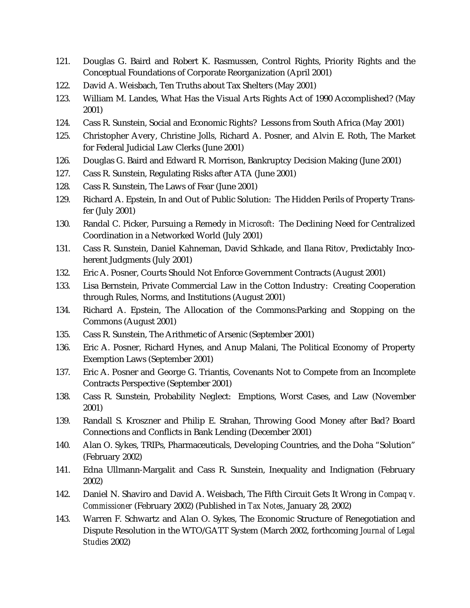- 121. Douglas G. Baird and Robert K. Rasmussen, Control Rights, Priority Rights and the Conceptual Foundations of Corporate Reorganization (April 2001)
- 122. David A. Weisbach, Ten Truths about Tax Shelters (May 2001)
- 123. William M. Landes, What Has the Visual Arts Rights Act of 1990 Accomplished? (May 2001)
- 124. Cass R. Sunstein, Social and Economic Rights? Lessons from South Africa (May 2001)
- 125. Christopher Avery, Christine Jolls, Richard A. Posner, and Alvin E. Roth, The Market for Federal Judicial Law Clerks (June 2001)
- 126. Douglas G. Baird and Edward R. Morrison, Bankruptcy Decision Making (June 2001)
- 127. Cass R. Sunstein, Regulating Risks after ATA (June 2001)
- 128. Cass R. Sunstein, The Laws of Fear (June 2001)
- 129. Richard A. Epstein, In and Out of Public Solution: The Hidden Perils of Property Transfer (July 2001)
- 130. Randal C. Picker, Pursuing a Remedy in *Microsoft*: The Declining Need for Centralized Coordination in a Networked World (July 2001)
- 131. Cass R. Sunstein, Daniel Kahneman, David Schkade, and Ilana Ritov, Predictably Incoherent Judgments (July 2001)
- 132. Eric A. Posner, Courts Should Not Enforce Government Contracts (August 2001)
- 133. Lisa Bernstein, Private Commercial Law in the Cotton Industry: Creating Cooperation through Rules, Norms, and Institutions (August 2001)
- 134. Richard A. Epstein, The Allocation of the Commons:Parking and Stopping on the Commons (August 2001)
- 135. Cass R. Sunstein, The Arithmetic of Arsenic (September 2001)
- 136. Eric A. Posner, Richard Hynes, and Anup Malani, The Political Economy of Property Exemption Laws (September 2001)
- 137. Eric A. Posner and George G. Triantis, Covenants Not to Compete from an Incomplete Contracts Perspective (September 2001)
- 138. Cass R. Sunstein, Probability Neglect: Emptions, Worst Cases, and Law (November 2001)
- 139. Randall S. Kroszner and Philip E. Strahan, Throwing Good Money after Bad? Board Connections and Conflicts in Bank Lending (December 2001)
- 140. Alan O. Sykes, TRIPs, Pharmaceuticals, Developing Countries, and the Doha "Solution" (February 2002)
- 141. Edna Ullmann-Margalit and Cass R. Sunstein, Inequality and Indignation (February 2002)
- 142. Daniel N. Shaviro and David A. Weisbach, The Fifth Circuit Gets It Wrong in *Compaq v. Commissioner* (February 2002) (Published in *Tax Notes*, January 28, 2002)
- 143. Warren F. Schwartz and Alan O. Sykes, The Economic Structure of Renegotiation and Dispute Resolution in the WTO/GATT System (March 2002, forthcoming *Journal of Legal Studies* 2002)